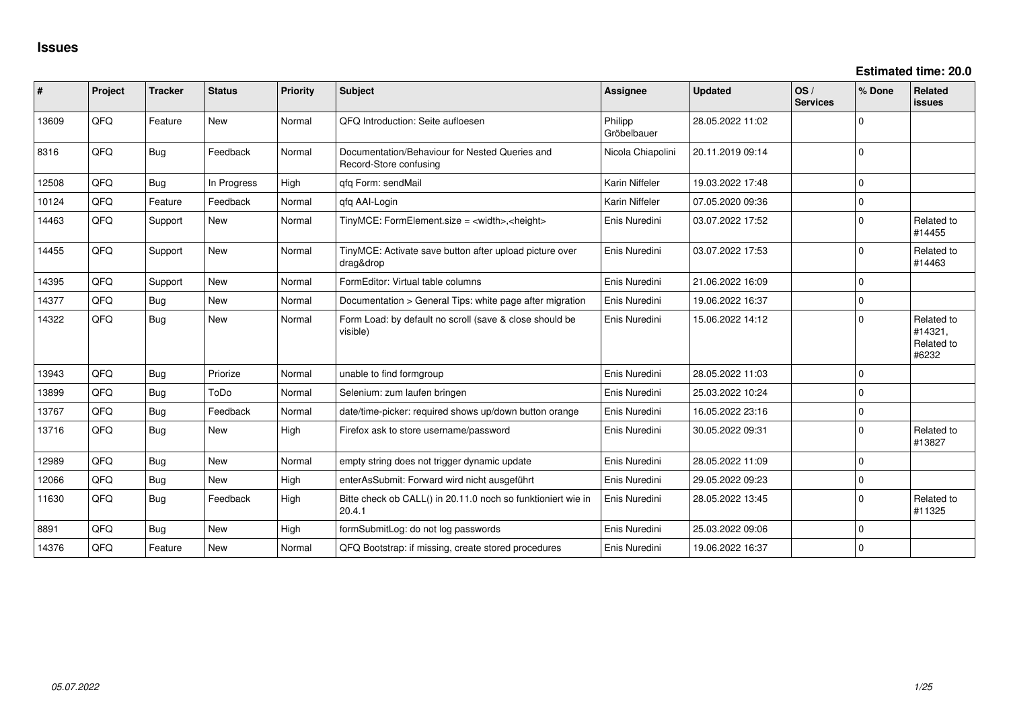| #     | Project | <b>Tracker</b> | <b>Status</b> | Priority | Subject                                                                  | <b>Assignee</b>        | <b>Updated</b>   | OS/<br><b>Services</b> | % Done      | Related<br>issues                            |
|-------|---------|----------------|---------------|----------|--------------------------------------------------------------------------|------------------------|------------------|------------------------|-------------|----------------------------------------------|
| 13609 | QFQ     | Feature        | <b>New</b>    | Normal   | QFQ Introduction: Seite aufloesen                                        | Philipp<br>Gröbelbauer | 28.05.2022 11:02 |                        | $\Omega$    |                                              |
| 8316  | QFQ     | Bug            | Feedback      | Normal   | Documentation/Behaviour for Nested Queries and<br>Record-Store confusing | Nicola Chiapolini      | 20.11.2019 09:14 |                        | $\Omega$    |                                              |
| 12508 | QFQ     | Bug            | In Progress   | High     | qfq Form: sendMail                                                       | Karin Niffeler         | 19.03.2022 17:48 |                        | $\mathbf 0$ |                                              |
| 10124 | QFQ     | Feature        | Feedback      | Normal   | gfg AAI-Login                                                            | Karin Niffeler         | 07.05.2020 09:36 |                        | $\Omega$    |                                              |
| 14463 | QFQ     | Support        | <b>New</b>    | Normal   | TinyMCE: FormElement.size = <width>,<height></height></width>            | Enis Nuredini          | 03.07.2022 17:52 |                        | $\Omega$    | Related to<br>#14455                         |
| 14455 | QFQ     | Support        | New           | Normal   | TinyMCE: Activate save button after upload picture over<br>drag&drop     | Enis Nuredini          | 03.07.2022 17:53 |                        | $\Omega$    | Related to<br>#14463                         |
| 14395 | QFQ     | Support        | <b>New</b>    | Normal   | FormEditor: Virtual table columns                                        | Enis Nuredini          | 21.06.2022 16:09 |                        | $\Omega$    |                                              |
| 14377 | QFQ     | Bug            | <b>New</b>    | Normal   | Documentation > General Tips: white page after migration                 | Enis Nuredini          | 19.06.2022 16:37 |                        | $\mathbf 0$ |                                              |
| 14322 | QFQ     | <b>Bug</b>     | New           | Normal   | Form Load: by default no scroll (save & close should be<br>visible)      | Enis Nuredini          | 15.06.2022 14:12 |                        | $\Omega$    | Related to<br>#14321.<br>Related to<br>#6232 |
| 13943 | QFQ     | Bug            | Priorize      | Normal   | unable to find formgroup                                                 | Enis Nuredini          | 28.05.2022 11:03 |                        | $\mathbf 0$ |                                              |
| 13899 | QFQ     | <b>Bug</b>     | ToDo          | Normal   | Selenium: zum laufen bringen                                             | Enis Nuredini          | 25.03.2022 10:24 |                        | $\Omega$    |                                              |
| 13767 | QFQ     | Bug            | Feedback      | Normal   | date/time-picker: required shows up/down button orange                   | Enis Nuredini          | 16.05.2022 23:16 |                        | $\mathbf 0$ |                                              |
| 13716 | QFQ     | <b>Bug</b>     | New           | High     | Firefox ask to store username/password                                   | Enis Nuredini          | 30.05.2022 09:31 |                        | $\Omega$    | Related to<br>#13827                         |
| 12989 | QFQ     | <b>Bug</b>     | <b>New</b>    | Normal   | empty string does not trigger dynamic update                             | Enis Nuredini          | 28.05.2022 11:09 |                        | $\Omega$    |                                              |
| 12066 | QFQ     | <b>Bug</b>     | New           | High     | enterAsSubmit: Forward wird nicht ausgeführt                             | Enis Nuredini          | 29.05.2022 09:23 |                        | $\mathbf 0$ |                                              |
| 11630 | QFQ     | Bug            | Feedback      | High     | Bitte check ob CALL() in 20.11.0 noch so funktioniert wie in<br>20.4.1   | Enis Nuredini          | 28.05.2022 13:45 |                        | $\Omega$    | Related to<br>#11325                         |
| 8891  | QFQ     | Bug            | New           | High     | formSubmitLog: do not log passwords                                      | Enis Nuredini          | 25.03.2022 09:06 |                        | $\mathbf 0$ |                                              |
| 14376 | QFQ     | Feature        | New           | Normal   | QFQ Bootstrap: if missing, create stored procedures                      | Enis Nuredini          | 19.06.2022 16:37 |                        | $\Omega$    |                                              |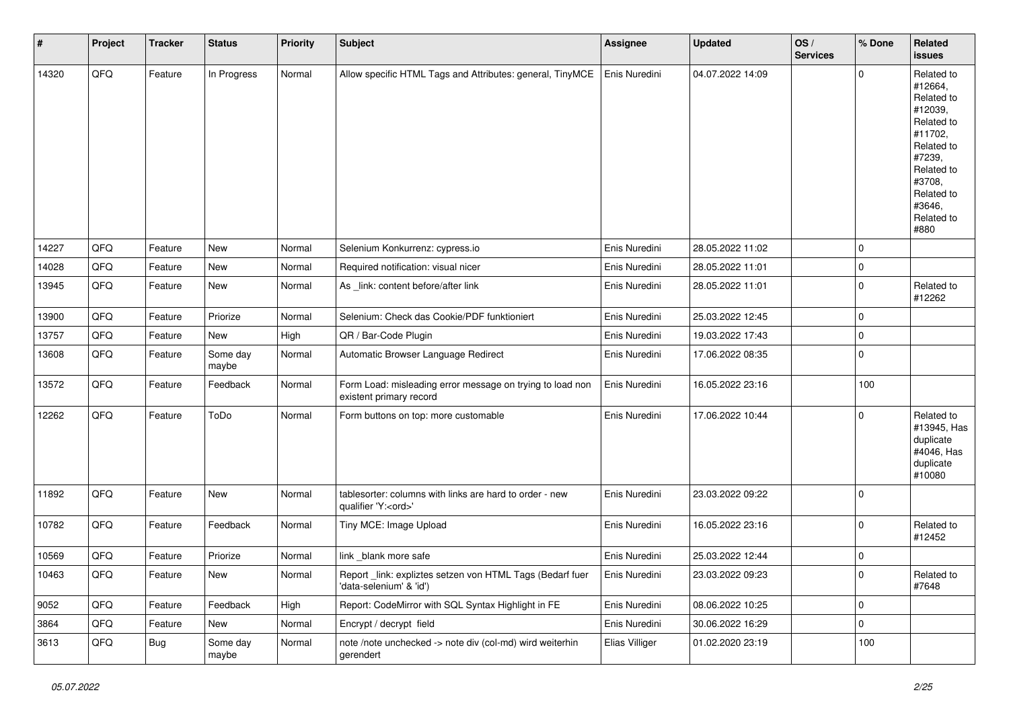| $\vert$ # | Project | <b>Tracker</b> | <b>Status</b>     | <b>Priority</b> | <b>Subject</b>                                                                        | <b>Assignee</b> | <b>Updated</b>   | OS/<br><b>Services</b> | % Done      | Related<br><b>issues</b>                                                                                                                                              |
|-----------|---------|----------------|-------------------|-----------------|---------------------------------------------------------------------------------------|-----------------|------------------|------------------------|-------------|-----------------------------------------------------------------------------------------------------------------------------------------------------------------------|
| 14320     | QFQ     | Feature        | In Progress       | Normal          | Allow specific HTML Tags and Attributes: general, TinyMCE                             | Enis Nuredini   | 04.07.2022 14:09 |                        | $\mathbf 0$ | Related to<br>#12664,<br>Related to<br>#12039,<br>Related to<br>#11702,<br>Related to<br>#7239,<br>Related to<br>#3708,<br>Related to<br>#3646,<br>Related to<br>#880 |
| 14227     | QFQ     | Feature        | <b>New</b>        | Normal          | Selenium Konkurrenz: cypress.io                                                       | Enis Nuredini   | 28.05.2022 11:02 |                        | $\mathbf 0$ |                                                                                                                                                                       |
| 14028     | QFQ     | Feature        | New               | Normal          | Required notification: visual nicer                                                   | Enis Nuredini   | 28.05.2022 11:01 |                        | $\mathbf 0$ |                                                                                                                                                                       |
| 13945     | QFQ     | Feature        | New               | Normal          | As _link: content before/after link                                                   | Enis Nuredini   | 28.05.2022 11:01 |                        | $\mathbf 0$ | Related to<br>#12262                                                                                                                                                  |
| 13900     | QFQ     | Feature        | Priorize          | Normal          | Selenium: Check das Cookie/PDF funktioniert                                           | Enis Nuredini   | 25.03.2022 12:45 |                        | $\mathbf 0$ |                                                                                                                                                                       |
| 13757     | QFQ     | Feature        | New               | High            | QR / Bar-Code Plugin                                                                  | Enis Nuredini   | 19.03.2022 17:43 |                        | $\mathbf 0$ |                                                                                                                                                                       |
| 13608     | QFQ     | Feature        | Some day<br>maybe | Normal          | Automatic Browser Language Redirect                                                   | Enis Nuredini   | 17.06.2022 08:35 |                        | $\mathbf 0$ |                                                                                                                                                                       |
| 13572     | QFQ     | Feature        | Feedback          | Normal          | Form Load: misleading error message on trying to load non<br>existent primary record  | Enis Nuredini   | 16.05.2022 23:16 |                        | 100         |                                                                                                                                                                       |
| 12262     | QFQ     | Feature        | ToDo              | Normal          | Form buttons on top: more customable                                                  | Enis Nuredini   | 17.06.2022 10:44 |                        | $\mathbf 0$ | Related to<br>#13945, Has<br>duplicate<br>#4046, Has<br>duplicate<br>#10080                                                                                           |
| 11892     | QFQ     | Feature        | New               | Normal          | tablesorter: columns with links are hard to order - new<br>qualifier 'Y: <ord>'</ord> | Enis Nuredini   | 23.03.2022 09:22 |                        | $\mathbf 0$ |                                                                                                                                                                       |
| 10782     | QFQ     | Feature        | Feedback          | Normal          | Tiny MCE: Image Upload                                                                | Enis Nuredini   | 16.05.2022 23:16 |                        | $\mathbf 0$ | Related to<br>#12452                                                                                                                                                  |
| 10569     | QFQ     | Feature        | Priorize          | Normal          | link_blank more safe                                                                  | Enis Nuredini   | 25.03.2022 12:44 |                        | $\mathbf 0$ |                                                                                                                                                                       |
| 10463     | QFQ     | Feature        | New               | Normal          | Report_link: expliztes setzen von HTML Tags (Bedarf fuer<br>'data-selenium' & 'id')   | Enis Nuredini   | 23.03.2022 09:23 |                        | $\mathbf 0$ | Related to<br>#7648                                                                                                                                                   |
| 9052      | QFQ     | Feature        | Feedback          | High            | Report: CodeMirror with SQL Syntax Highlight in FE                                    | Enis Nuredini   | 08.06.2022 10:25 |                        | $\mathbf 0$ |                                                                                                                                                                       |
| 3864      | QFQ     | Feature        | New               | Normal          | Encrypt / decrypt field                                                               | Enis Nuredini   | 30.06.2022 16:29 |                        | $\mathbf 0$ |                                                                                                                                                                       |
| 3613      | QFQ     | Bug            | Some day<br>maybe | Normal          | note /note unchecked -> note div (col-md) wird weiterhin<br>gerendert                 | Elias Villiger  | 01.02.2020 23:19 |                        | 100         |                                                                                                                                                                       |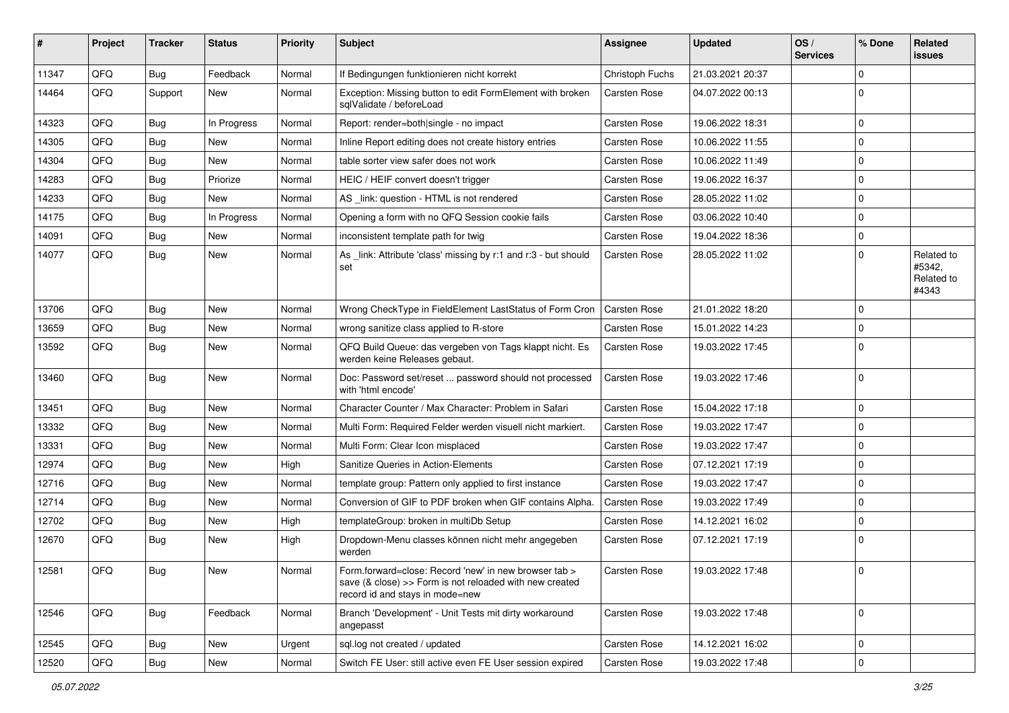| #     | Project | <b>Tracker</b> | <b>Status</b> | <b>Priority</b> | Subject                                                                                                                                             | <b>Assignee</b>     | <b>Updated</b>   | OS/<br><b>Services</b> | % Done       | Related<br>issues                           |
|-------|---------|----------------|---------------|-----------------|-----------------------------------------------------------------------------------------------------------------------------------------------------|---------------------|------------------|------------------------|--------------|---------------------------------------------|
| 11347 | QFQ     | Bug            | Feedback      | Normal          | If Bedingungen funktionieren nicht korrekt                                                                                                          | Christoph Fuchs     | 21.03.2021 20:37 |                        | <sup>0</sup> |                                             |
| 14464 | QFQ     | Support        | New           | Normal          | Exception: Missing button to edit FormElement with broken<br>sqlValidate / beforeLoad                                                               | Carsten Rose        | 04.07.2022 00:13 |                        | 0            |                                             |
| 14323 | QFQ     | Bug            | In Progress   | Normal          | Report: render=both single - no impact                                                                                                              | <b>Carsten Rose</b> | 19.06.2022 18:31 |                        | $\Omega$     |                                             |
| 14305 | QFQ     | <b>Bug</b>     | New           | Normal          | Inline Report editing does not create history entries                                                                                               | <b>Carsten Rose</b> | 10.06.2022 11:55 |                        | 0            |                                             |
| 14304 | QFQ     | <b>Bug</b>     | New           | Normal          | table sorter view safer does not work                                                                                                               | <b>Carsten Rose</b> | 10.06.2022 11:49 |                        | $\Omega$     |                                             |
| 14283 | QFQ     | <b>Bug</b>     | Priorize      | Normal          | HEIC / HEIF convert doesn't trigger                                                                                                                 | <b>Carsten Rose</b> | 19.06.2022 16:37 |                        | 0            |                                             |
| 14233 | QFQ     | <b>Bug</b>     | New           | Normal          | AS _link: question - HTML is not rendered                                                                                                           | <b>Carsten Rose</b> | 28.05.2022 11:02 |                        | $\Omega$     |                                             |
| 14175 | QFQ     | Bug            | In Progress   | Normal          | Opening a form with no QFQ Session cookie fails                                                                                                     | <b>Carsten Rose</b> | 03.06.2022 10:40 |                        | 0            |                                             |
| 14091 | QFQ     | <b>Bug</b>     | <b>New</b>    | Normal          | inconsistent template path for twig                                                                                                                 | <b>Carsten Rose</b> | 19.04.2022 18:36 |                        | 0            |                                             |
| 14077 | QFQ     | Bug            | New           | Normal          | As _link: Attribute 'class' missing by r:1 and r:3 - but should<br>set                                                                              | <b>Carsten Rose</b> | 28.05.2022 11:02 |                        | $\Omega$     | Related to<br>#5342.<br>Related to<br>#4343 |
| 13706 | QFQ     | <b>Bug</b>     | New           | Normal          | Wrong CheckType in FieldElement LastStatus of Form Cron                                                                                             | <b>Carsten Rose</b> | 21.01.2022 18:20 |                        | $\Omega$     |                                             |
| 13659 | QFQ     | <b>Bug</b>     | New           | Normal          | wrong sanitize class applied to R-store                                                                                                             | <b>Carsten Rose</b> | 15.01.2022 14:23 |                        | 0            |                                             |
| 13592 | QFQ     | <b>Bug</b>     | New           | Normal          | QFQ Build Queue: das vergeben von Tags klappt nicht. Es<br>werden keine Releases gebaut.                                                            | <b>Carsten Rose</b> | 19.03.2022 17:45 |                        | $\Omega$     |                                             |
| 13460 | QFQ     | <b>Bug</b>     | New           | Normal          | Doc: Password set/reset  password should not processed<br>with 'html encode'                                                                        | <b>Carsten Rose</b> | 19.03.2022 17:46 |                        | $\mathbf 0$  |                                             |
| 13451 | QFQ     | <b>Bug</b>     | <b>New</b>    | Normal          | Character Counter / Max Character: Problem in Safari                                                                                                | <b>Carsten Rose</b> | 15.04.2022 17:18 |                        | 0            |                                             |
| 13332 | QFQ     | Bug            | New           | Normal          | Multi Form: Required Felder werden visuell nicht markiert.                                                                                          | <b>Carsten Rose</b> | 19.03.2022 17:47 |                        | $\Omega$     |                                             |
| 13331 | QFQ     | <b>Bug</b>     | New           | Normal          | Multi Form: Clear Icon misplaced                                                                                                                    | <b>Carsten Rose</b> | 19.03.2022 17:47 |                        | 0            |                                             |
| 12974 | QFQ     | <b>Bug</b>     | New           | High            | Sanitize Queries in Action-Elements                                                                                                                 | <b>Carsten Rose</b> | 07.12.2021 17:19 |                        | 0            |                                             |
| 12716 | QFQ     | <b>Bug</b>     | New           | Normal          | template group: Pattern only applied to first instance                                                                                              | <b>Carsten Rose</b> | 19.03.2022 17:47 |                        | 0            |                                             |
| 12714 | QFQ     | <b>Bug</b>     | New           | Normal          | Conversion of GIF to PDF broken when GIF contains Alpha.                                                                                            | <b>Carsten Rose</b> | 19.03.2022 17:49 |                        | $\Omega$     |                                             |
| 12702 | QFQ     | <b>Bug</b>     | New           | High            | templateGroup: broken in multiDb Setup                                                                                                              | Carsten Rose        | 14.12.2021 16:02 |                        | 0            |                                             |
| 12670 | QFQ     | Bug            | New           | High            | Dropdown-Menu classes können nicht mehr angegeben<br>werden                                                                                         | Carsten Rose        | 07.12.2021 17:19 |                        | $\Omega$     |                                             |
| 12581 | QFQ     | Bug            | New           | Normal          | Form.forward=close: Record 'new' in new browser tab ><br>save (& close) >> Form is not reloaded with new created<br>record id and stays in mode=new | Carsten Rose        | 19.03.2022 17:48 |                        | $\Omega$     |                                             |
| 12546 | QFQ     | <b>Bug</b>     | Feedback      | Normal          | Branch 'Development' - Unit Tests mit dirty workaround<br>angepasst                                                                                 | <b>Carsten Rose</b> | 19.03.2022 17:48 |                        | $\mathbf 0$  |                                             |
| 12545 | QFQ     | Bug            | New           | Urgent          | sql.log not created / updated                                                                                                                       | Carsten Rose        | 14.12.2021 16:02 |                        | 0            |                                             |
| 12520 | QFQ     | <b>Bug</b>     | New           | Normal          | Switch FE User: still active even FE User session expired                                                                                           | Carsten Rose        | 19.03.2022 17:48 |                        | 0            |                                             |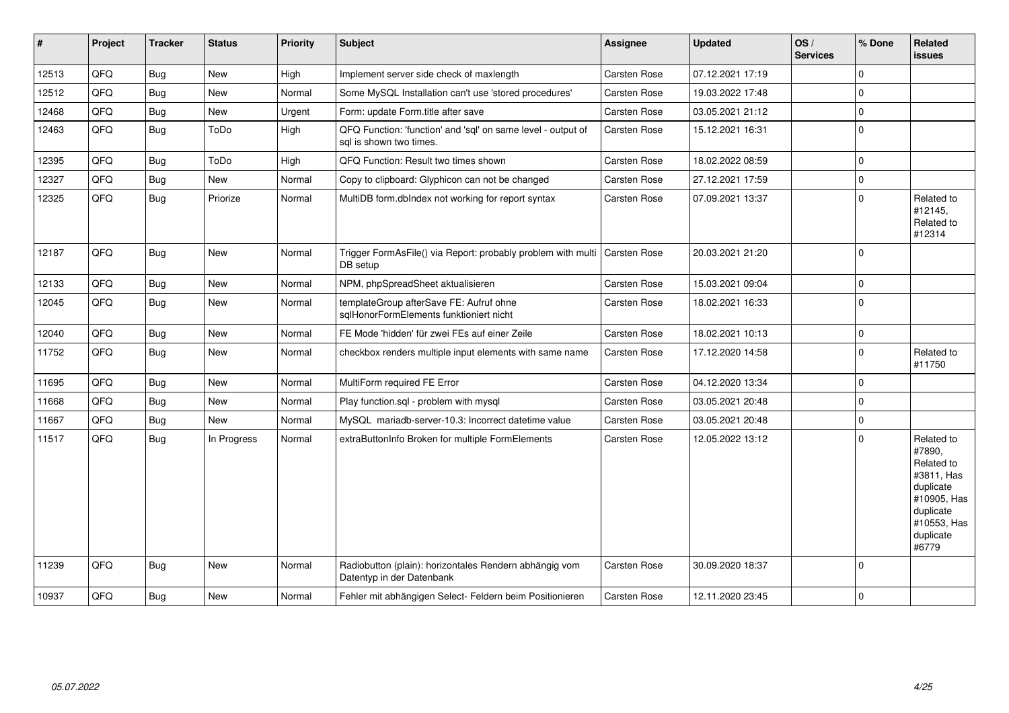| #     | Project | <b>Tracker</b> | <b>Status</b> | <b>Priority</b> | <b>Subject</b>                                                                          | <b>Assignee</b>     | <b>Updated</b>   | OS/<br><b>Services</b> | % Done      | Related<br><b>issues</b>                                                                                                       |
|-------|---------|----------------|---------------|-----------------|-----------------------------------------------------------------------------------------|---------------------|------------------|------------------------|-------------|--------------------------------------------------------------------------------------------------------------------------------|
| 12513 | QFQ     | Bug            | New           | High            | Implement server side check of maxlength                                                | Carsten Rose        | 07.12.2021 17:19 |                        | $\Omega$    |                                                                                                                                |
| 12512 | QFQ     | <b>Bug</b>     | New           | Normal          | Some MySQL Installation can't use 'stored procedures'                                   | Carsten Rose        | 19.03.2022 17:48 |                        | $\mathbf 0$ |                                                                                                                                |
| 12468 | QFQ     | <b>Bug</b>     | New           | Urgent          | Form: update Form.title after save                                                      | Carsten Rose        | 03.05.2021 21:12 |                        | $\mathbf 0$ |                                                                                                                                |
| 12463 | QFQ     | <b>Bug</b>     | ToDo          | High            | QFQ Function: 'function' and 'sql' on same level - output of<br>sal is shown two times. | Carsten Rose        | 15.12.2021 16:31 |                        | $\mathbf 0$ |                                                                                                                                |
| 12395 | QFQ     | <b>Bug</b>     | ToDo          | High            | QFQ Function: Result two times shown                                                    | Carsten Rose        | 18.02.2022 08:59 |                        | $\Omega$    |                                                                                                                                |
| 12327 | QFQ     | <b>Bug</b>     | New           | Normal          | Copy to clipboard: Glyphicon can not be changed                                         | Carsten Rose        | 27.12.2021 17:59 |                        | $\mathbf 0$ |                                                                                                                                |
| 12325 | QFQ     | Bug            | Priorize      | Normal          | MultiDB form.dblndex not working for report syntax                                      | Carsten Rose        | 07.09.2021 13:37 |                        | $\Omega$    | Related to<br>#12145,<br>Related to<br>#12314                                                                                  |
| 12187 | QFQ     | <b>Bug</b>     | New           | Normal          | Trigger FormAsFile() via Report: probably problem with multi<br>DB setup                | l Carsten Rose      | 20.03.2021 21:20 |                        | $\mathbf 0$ |                                                                                                                                |
| 12133 | QFQ     | Bug            | <b>New</b>    | Normal          | NPM, phpSpreadSheet aktualisieren                                                       | Carsten Rose        | 15.03.2021 09:04 |                        | $\mathbf 0$ |                                                                                                                                |
| 12045 | QFQ     | Bug            | New           | Normal          | templateGroup afterSave FE: Aufruf ohne<br>sqlHonorFormElements funktioniert nicht      | Carsten Rose        | 18.02.2021 16:33 |                        | $\mathbf 0$ |                                                                                                                                |
| 12040 | QFQ     | <b>Bug</b>     | <b>New</b>    | Normal          | FE Mode 'hidden' für zwei FEs auf einer Zeile                                           | Carsten Rose        | 18.02.2021 10:13 |                        | $\mathbf 0$ |                                                                                                                                |
| 11752 | QFQ     | <b>Bug</b>     | New           | Normal          | checkbox renders multiple input elements with same name                                 | Carsten Rose        | 17.12.2020 14:58 |                        | $\mathbf 0$ | Related to<br>#11750                                                                                                           |
| 11695 | QFQ     | <b>Bug</b>     | <b>New</b>    | Normal          | MultiForm required FE Error                                                             | Carsten Rose        | 04.12.2020 13:34 |                        | $\mathbf 0$ |                                                                                                                                |
| 11668 | QFQ     | <b>Bug</b>     | New           | Normal          | Play function.sgl - problem with mysgl                                                  | Carsten Rose        | 03.05.2021 20:48 |                        | $\mathbf 0$ |                                                                                                                                |
| 11667 | QFQ     | <b>Bug</b>     | <b>New</b>    | Normal          | MySQL mariadb-server-10.3: Incorrect datetime value                                     | Carsten Rose        | 03.05.2021 20:48 |                        | $\mathbf 0$ |                                                                                                                                |
| 11517 | QFQ     | <b>Bug</b>     | In Progress   | Normal          | extraButtonInfo Broken for multiple FormElements                                        | Carsten Rose        | 12.05.2022 13:12 |                        | $\mathbf 0$ | Related to<br>#7890,<br>Related to<br>#3811, Has<br>duplicate<br>#10905, Has<br>duplicate<br>#10553, Has<br>duplicate<br>#6779 |
| 11239 | QFQ     | Bug            | <b>New</b>    | Normal          | Radiobutton (plain): horizontales Rendern abhängig vom<br>Datentyp in der Datenbank     | <b>Carsten Rose</b> | 30.09.2020 18:37 |                        | $\mathbf 0$ |                                                                                                                                |
| 10937 | QFQ     | <b>Bug</b>     | New           | Normal          | Fehler mit abhängigen Select- Feldern beim Positionieren                                | Carsten Rose        | 12.11.2020 23:45 |                        | $\mathbf 0$ |                                                                                                                                |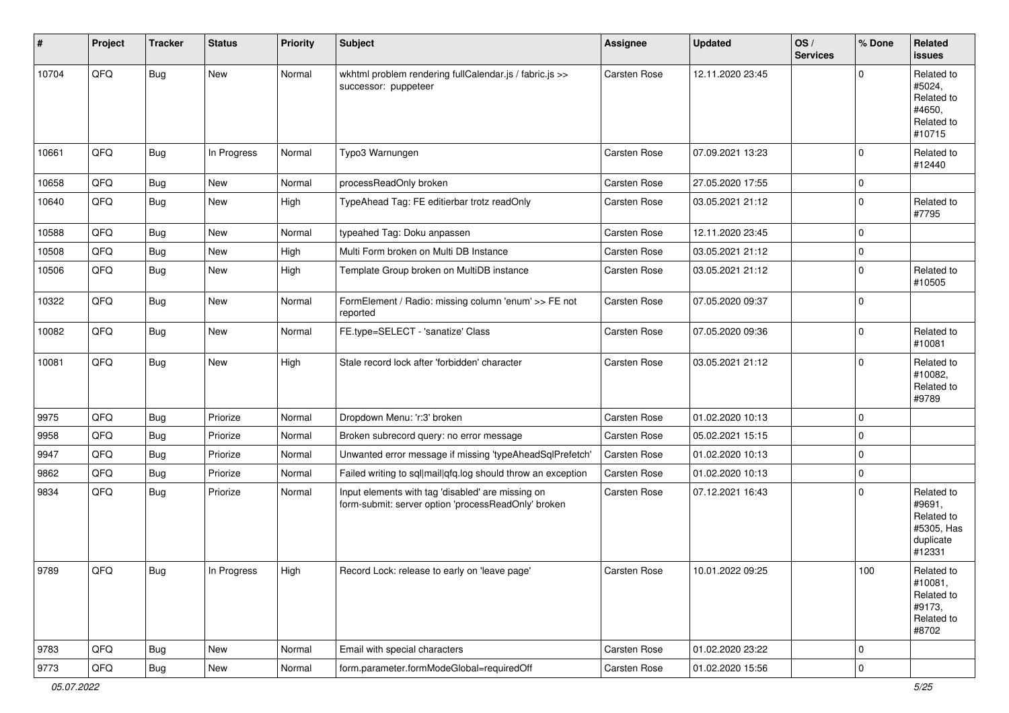| #     | Project | <b>Tracker</b> | <b>Status</b> | <b>Priority</b> | <b>Subject</b>                                                                                           | <b>Assignee</b>     | <b>Updated</b>   | OS/<br><b>Services</b> | % Done      | Related<br><b>issues</b>                                                |
|-------|---------|----------------|---------------|-----------------|----------------------------------------------------------------------------------------------------------|---------------------|------------------|------------------------|-------------|-------------------------------------------------------------------------|
| 10704 | QFQ     | <b>Bug</b>     | New           | Normal          | wkhtml problem rendering fullCalendar.js / fabric.js >><br>successor: puppeteer                          | Carsten Rose        | 12.11.2020 23:45 |                        | $\Omega$    | Related to<br>#5024,<br>Related to<br>#4650,<br>Related to<br>#10715    |
| 10661 | QFQ     | <b>Bug</b>     | In Progress   | Normal          | Typo3 Warnungen                                                                                          | Carsten Rose        | 07.09.2021 13:23 |                        | $\mathbf 0$ | Related to<br>#12440                                                    |
| 10658 | QFQ     | Bug            | New           | Normal          | processReadOnly broken                                                                                   | Carsten Rose        | 27.05.2020 17:55 |                        | $\mathbf 0$ |                                                                         |
| 10640 | QFQ     | <b>Bug</b>     | New           | High            | TypeAhead Tag: FE editierbar trotz readOnly                                                              | Carsten Rose        | 03.05.2021 21:12 |                        | $\mathbf 0$ | Related to<br>#7795                                                     |
| 10588 | QFQ     | <b>Bug</b>     | <b>New</b>    | Normal          | typeahed Tag: Doku anpassen                                                                              | Carsten Rose        | 12.11.2020 23:45 |                        | $\mathbf 0$ |                                                                         |
| 10508 | QFQ     | <b>Bug</b>     | New           | High            | Multi Form broken on Multi DB Instance                                                                   | Carsten Rose        | 03.05.2021 21:12 |                        | $\mathbf 0$ |                                                                         |
| 10506 | QFQ     | Bug            | New           | High            | Template Group broken on MultiDB instance                                                                | Carsten Rose        | 03.05.2021 21:12 |                        | $\mathbf 0$ | Related to<br>#10505                                                    |
| 10322 | QFQ     | <b>Bug</b>     | New           | Normal          | FormElement / Radio: missing column 'enum' >> FE not<br>reported                                         | <b>Carsten Rose</b> | 07.05.2020 09:37 |                        | $\mathbf 0$ |                                                                         |
| 10082 | QFQ     | <b>Bug</b>     | New           | Normal          | FE.type=SELECT - 'sanatize' Class                                                                        | Carsten Rose        | 07.05.2020 09:36 |                        | $\mathbf 0$ | Related to<br>#10081                                                    |
| 10081 | QFQ     | Bug            | New           | High            | Stale record lock after 'forbidden' character                                                            | Carsten Rose        | 03.05.2021 21:12 |                        | $\mathbf 0$ | Related to<br>#10082,<br>Related to<br>#9789                            |
| 9975  | QFQ     | Bug            | Priorize      | Normal          | Dropdown Menu: 'r:3' broken                                                                              | Carsten Rose        | 01.02.2020 10:13 |                        | $\mathbf 0$ |                                                                         |
| 9958  | QFQ     | <b>Bug</b>     | Priorize      | Normal          | Broken subrecord query: no error message                                                                 | Carsten Rose        | 05.02.2021 15:15 |                        | $\mathbf 0$ |                                                                         |
| 9947  | QFQ     | <b>Bug</b>     | Priorize      | Normal          | Unwanted error message if missing 'typeAheadSqlPrefetch'                                                 | Carsten Rose        | 01.02.2020 10:13 |                        | $\mathbf 0$ |                                                                         |
| 9862  | QFQ     | <b>Bug</b>     | Priorize      | Normal          | Failed writing to sql mail qfq.log should throw an exception                                             | Carsten Rose        | 01.02.2020 10:13 |                        | $\mathbf 0$ |                                                                         |
| 9834  | QFQ     | <b>Bug</b>     | Priorize      | Normal          | Input elements with tag 'disabled' are missing on<br>form-submit: server option 'processReadOnly' broken | Carsten Rose        | 07.12.2021 16:43 |                        | $\mathbf 0$ | Related to<br>#9691,<br>Related to<br>#5305, Has<br>duplicate<br>#12331 |
| 9789  | QFQ     | Bug            | In Progress   | High            | Record Lock: release to early on 'leave page'                                                            | Carsten Rose        | 10.01.2022 09:25 |                        | 100         | Related to<br>#10081,<br>Related to<br>#9173,<br>Related to<br>#8702    |
| 9783  | QFQ     | Bug            | New           | Normal          | Email with special characters                                                                            | Carsten Rose        | 01.02.2020 23:22 |                        | $\mathbf 0$ |                                                                         |
| 9773  | QFQ     | <b>Bug</b>     | New           | Normal          | form.parameter.formModeGlobal=requiredOff                                                                | Carsten Rose        | 01.02.2020 15:56 |                        | $\mathsf 0$ |                                                                         |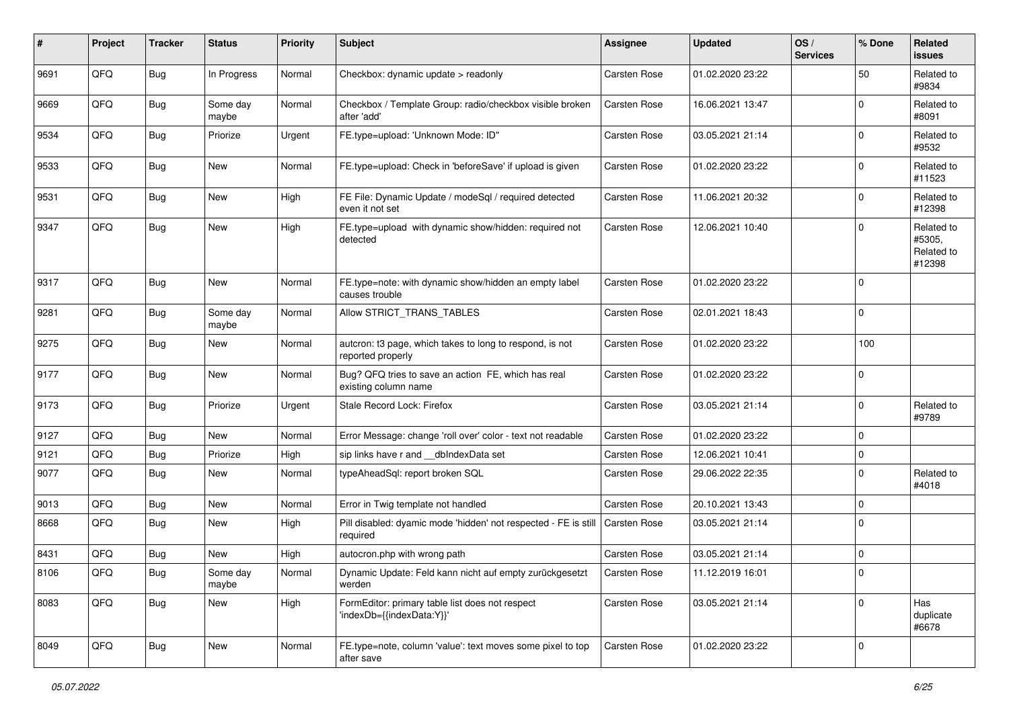| $\sharp$ | Project | <b>Tracker</b> | <b>Status</b>     | <b>Priority</b> | <b>Subject</b>                                                                | <b>Assignee</b>     | <b>Updated</b>   | OS/<br><b>Services</b> | % Done      | Related<br><b>issues</b>                     |
|----------|---------|----------------|-------------------|-----------------|-------------------------------------------------------------------------------|---------------------|------------------|------------------------|-------------|----------------------------------------------|
| 9691     | QFQ     | <b>Bug</b>     | In Progress       | Normal          | Checkbox: dynamic update > readonly                                           | Carsten Rose        | 01.02.2020 23:22 |                        | 50          | Related to<br>#9834                          |
| 9669     | QFQ     | <b>Bug</b>     | Some day<br>maybe | Normal          | Checkbox / Template Group: radio/checkbox visible broken<br>after 'add'       | <b>Carsten Rose</b> | 16.06.2021 13:47 |                        | $\Omega$    | Related to<br>#8091                          |
| 9534     | QFQ     | <b>Bug</b>     | Priorize          | Urgent          | FE.type=upload: 'Unknown Mode: ID"                                            | Carsten Rose        | 03.05.2021 21:14 |                        | $\Omega$    | Related to<br>#9532                          |
| 9533     | QFQ     | <b>Bug</b>     | New               | Normal          | FE.type=upload: Check in 'beforeSave' if upload is given                      | Carsten Rose        | 01.02.2020 23:22 |                        | 0           | Related to<br>#11523                         |
| 9531     | QFQ     | <b>Bug</b>     | New               | High            | FE File: Dynamic Update / modeSql / required detected<br>even it not set      | Carsten Rose        | 11.06.2021 20:32 |                        | $\Omega$    | Related to<br>#12398                         |
| 9347     | QFQ     | <b>Bug</b>     | New               | High            | FE.type=upload with dynamic show/hidden: required not<br>detected             | Carsten Rose        | 12.06.2021 10:40 |                        | $\mathbf 0$ | Related to<br>#5305,<br>Related to<br>#12398 |
| 9317     | QFQ     | <b>Bug</b>     | New               | Normal          | FE.type=note: with dynamic show/hidden an empty label<br>causes trouble       | <b>Carsten Rose</b> | 01.02.2020 23:22 |                        | $\Omega$    |                                              |
| 9281     | QFQ     | <b>Bug</b>     | Some day<br>maybe | Normal          | Allow STRICT_TRANS_TABLES                                                     | Carsten Rose        | 02.01.2021 18:43 |                        | $\mathbf 0$ |                                              |
| 9275     | QFQ     | <b>Bug</b>     | New               | Normal          | autcron: t3 page, which takes to long to respond, is not<br>reported properly | Carsten Rose        | 01.02.2020 23:22 |                        | 100         |                                              |
| 9177     | QFQ     | <b>Bug</b>     | New               | Normal          | Bug? QFQ tries to save an action FE, which has real<br>existing column name   | Carsten Rose        | 01.02.2020 23:22 |                        | $\mathbf 0$ |                                              |
| 9173     | QFQ     | <b>Bug</b>     | Priorize          | Urgent          | Stale Record Lock: Firefox                                                    | <b>Carsten Rose</b> | 03.05.2021 21:14 |                        | $\Omega$    | Related to<br>#9789                          |
| 9127     | QFQ     | <b>Bug</b>     | New               | Normal          | Error Message: change 'roll over' color - text not readable                   | <b>Carsten Rose</b> | 01.02.2020 23:22 |                        | $\Omega$    |                                              |
| 9121     | QFQ     | <b>Bug</b>     | Priorize          | High            | sip links have r and __dbIndexData set                                        | Carsten Rose        | 12.06.2021 10:41 |                        | $\mathbf 0$ |                                              |
| 9077     | QFQ     | <b>Bug</b>     | New               | Normal          | typeAheadSql: report broken SQL                                               | Carsten Rose        | 29.06.2022 22:35 |                        | $\Omega$    | Related to<br>#4018                          |
| 9013     | QFQ     | <b>Bug</b>     | New               | Normal          | Error in Twig template not handled                                            | <b>Carsten Rose</b> | 20.10.2021 13:43 |                        | $\Omega$    |                                              |
| 8668     | QFQ     | <b>Bug</b>     | New               | High            | Pill disabled: dyamic mode 'hidden' not respected - FE is still<br>required   | Carsten Rose        | 03.05.2021 21:14 |                        | $\Omega$    |                                              |
| 8431     | QFQ     | <b>Bug</b>     | New               | High            | autocron.php with wrong path                                                  | Carsten Rose        | 03.05.2021 21:14 |                        | 0           |                                              |
| 8106     | QFQ     | <b>Bug</b>     | Some day<br>maybe | Normal          | Dynamic Update: Feld kann nicht auf empty zurückgesetzt<br>werden             | Carsten Rose        | 11.12.2019 16:01 |                        | $\pmb{0}$   |                                              |
| 8083     | QFQ     | Bug            | New               | High            | FormEditor: primary table list does not respect<br>'indexDb={{indexData:Y}}'  | Carsten Rose        | 03.05.2021 21:14 |                        | $\mathbf 0$ | Has<br>duplicate<br>#6678                    |
| 8049     | QFQ     | <b>Bug</b>     | New               | Normal          | FE.type=note, column 'value': text moves some pixel to top<br>after save      | Carsten Rose        | 01.02.2020 23:22 |                        | 0           |                                              |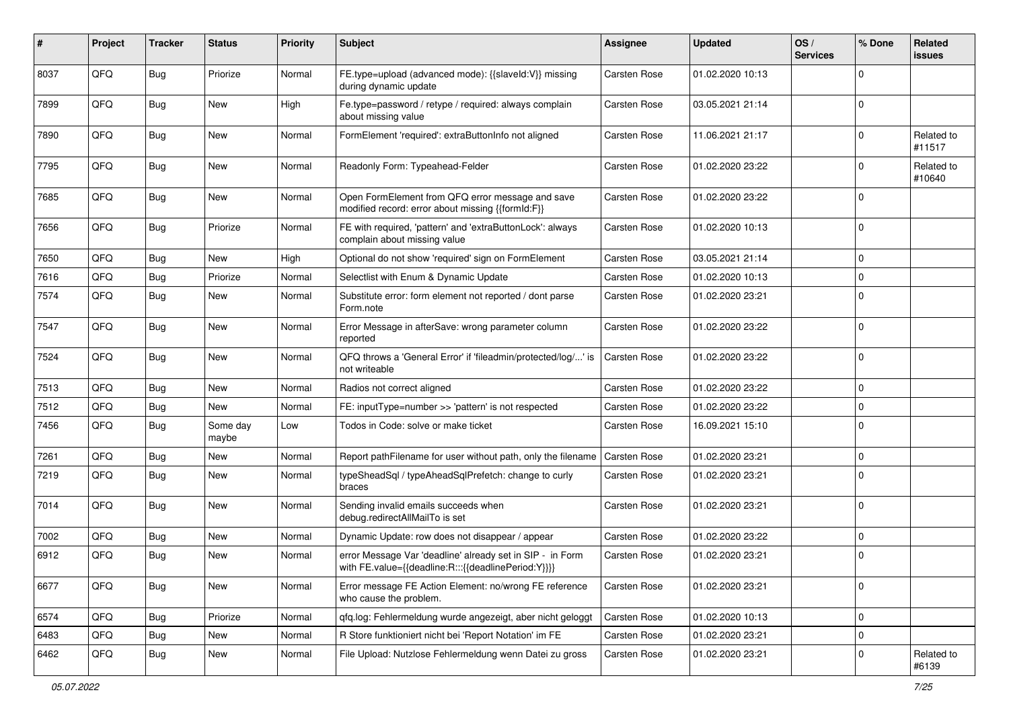| #    | Project | <b>Tracker</b> | <b>Status</b>     | <b>Priority</b> | <b>Subject</b>                                                                                                   | <b>Assignee</b>     | <b>Updated</b>   | OS/<br><b>Services</b> | % Done      | Related<br>issues    |
|------|---------|----------------|-------------------|-----------------|------------------------------------------------------------------------------------------------------------------|---------------------|------------------|------------------------|-------------|----------------------|
| 8037 | QFQ     | <b>Bug</b>     | Priorize          | Normal          | FE.type=upload (advanced mode): {{slaveId:V}} missing<br>during dynamic update                                   | Carsten Rose        | 01.02.2020 10:13 |                        | $\mathbf 0$ |                      |
| 7899 | QFQ     | Bug            | New               | High            | Fe.type=password / retype / required: always complain<br>about missing value                                     | Carsten Rose        | 03.05.2021 21:14 |                        | $\mathbf 0$ |                      |
| 7890 | QFQ     | <b>Bug</b>     | New               | Normal          | FormElement 'required': extraButtonInfo not aligned                                                              | Carsten Rose        | 11.06.2021 21:17 |                        | $\mathbf 0$ | Related to<br>#11517 |
| 7795 | QFQ     | <b>Bug</b>     | New               | Normal          | Readonly Form: Typeahead-Felder                                                                                  | Carsten Rose        | 01.02.2020 23:22 |                        | $\mathbf 0$ | Related to<br>#10640 |
| 7685 | QFQ     | <b>Bug</b>     | New               | Normal          | Open FormElement from QFQ error message and save<br>modified record: error about missing {{formId:F}}            | Carsten Rose        | 01.02.2020 23:22 |                        | $\mathbf 0$ |                      |
| 7656 | QFQ     | Bug            | Priorize          | Normal          | FE with required, 'pattern' and 'extraButtonLock': always<br>complain about missing value                        | Carsten Rose        | 01.02.2020 10:13 |                        | $\mathbf 0$ |                      |
| 7650 | QFQ     | Bug            | <b>New</b>        | High            | Optional do not show 'required' sign on FormElement                                                              | Carsten Rose        | 03.05.2021 21:14 |                        | $\mathbf 0$ |                      |
| 7616 | QFQ     | <b>Bug</b>     | Priorize          | Normal          | Selectlist with Enum & Dynamic Update                                                                            | Carsten Rose        | 01.02.2020 10:13 |                        | $\mathbf 0$ |                      |
| 7574 | QFQ     | <b>Bug</b>     | New               | Normal          | Substitute error: form element not reported / dont parse<br>Form.note                                            | Carsten Rose        | 01.02.2020 23:21 |                        | $\mathbf 0$ |                      |
| 7547 | QFQ     | <b>Bug</b>     | New               | Normal          | Error Message in afterSave: wrong parameter column<br>reported                                                   | Carsten Rose        | 01.02.2020 23:22 |                        | $\mathbf 0$ |                      |
| 7524 | QFQ     | <b>Bug</b>     | New               | Normal          | QFQ throws a 'General Error' if 'fileadmin/protected/log/' is<br>not writeable                                   | Carsten Rose        | 01.02.2020 23:22 |                        | $\mathbf 0$ |                      |
| 7513 | QFQ     | Bug            | New               | Normal          | Radios not correct aligned                                                                                       | Carsten Rose        | 01.02.2020 23:22 |                        | $\mathbf 0$ |                      |
| 7512 | QFQ     | <b>Bug</b>     | New               | Normal          | FE: inputType=number >> 'pattern' is not respected                                                               | Carsten Rose        | 01.02.2020 23:22 |                        | $\mathbf 0$ |                      |
| 7456 | QFQ     | <b>Bug</b>     | Some day<br>maybe | Low             | Todos in Code: solve or make ticket                                                                              | Carsten Rose        | 16.09.2021 15:10 |                        | $\mathbf 0$ |                      |
| 7261 | QFQ     | <b>Bug</b>     | New               | Normal          | Report pathFilename for user without path, only the filename                                                     | <b>Carsten Rose</b> | 01.02.2020 23:21 |                        | $\mathbf 0$ |                      |
| 7219 | QFQ     | <b>Bug</b>     | New               | Normal          | typeSheadSql / typeAheadSqlPrefetch: change to curly<br>braces                                                   | Carsten Rose        | 01.02.2020 23:21 |                        | $\mathbf 0$ |                      |
| 7014 | QFQ     | Bug            | New               | Normal          | Sending invalid emails succeeds when<br>debug.redirectAllMailTo is set                                           | Carsten Rose        | 01.02.2020 23:21 |                        | $\mathbf 0$ |                      |
| 7002 | QFQ     | <b>Bug</b>     | New               | Normal          | Dynamic Update: row does not disappear / appear                                                                  | Carsten Rose        | 01.02.2020 23:22 |                        | $\mathbf 0$ |                      |
| 6912 | QFQ     | <b>Bug</b>     | New               | Normal          | error Message Var 'deadline' already set in SIP - in Form<br>with FE.value={{deadline:R:::{{deadlinePeriod:Y}}}} | Carsten Rose        | 01.02.2020 23:21 |                        | $\mathbf 0$ |                      |
| 6677 | QFQ     | <b>Bug</b>     | New               | Normal          | Error message FE Action Element: no/wrong FE reference<br>who cause the problem.                                 | Carsten Rose        | 01.02.2020 23:21 |                        | $\mathbf 0$ |                      |
| 6574 | QFQ     | <b>Bug</b>     | Priorize          | Normal          | gfg.log: Fehlermeldung wurde angezeigt, aber nicht geloggt                                                       | Carsten Rose        | 01.02.2020 10:13 |                        | $\mathbf 0$ |                      |
| 6483 | QFQ     | <b>Bug</b>     | New               | Normal          | R Store funktioniert nicht bei 'Report Notation' im FE                                                           | Carsten Rose        | 01.02.2020 23:21 |                        | $\mathbf 0$ |                      |
| 6462 | QFQ     | <b>Bug</b>     | New               | Normal          | File Upload: Nutzlose Fehlermeldung wenn Datei zu gross                                                          | Carsten Rose        | 01.02.2020 23:21 |                        | $\mathbf 0$ | Related to<br>#6139  |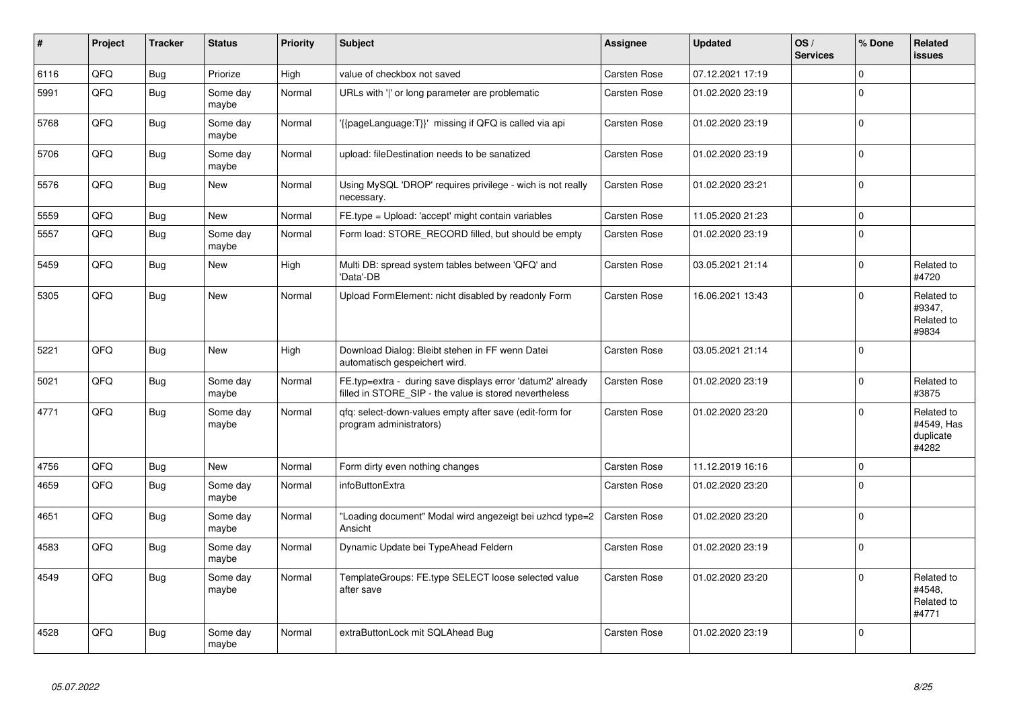| #    | Project | <b>Tracker</b> | <b>Status</b>     | <b>Priority</b> | <b>Subject</b>                                                                                                       | Assignee     | <b>Updated</b>   | OS/<br><b>Services</b> | % Done      | Related<br><b>issues</b>                       |
|------|---------|----------------|-------------------|-----------------|----------------------------------------------------------------------------------------------------------------------|--------------|------------------|------------------------|-------------|------------------------------------------------|
| 6116 | QFQ     | <b>Bug</b>     | Priorize          | High            | value of checkbox not saved                                                                                          | Carsten Rose | 07.12.2021 17:19 |                        | $\mathbf 0$ |                                                |
| 5991 | QFQ     | <b>Bug</b>     | Some day<br>maybe | Normal          | URLs with ' ' or long parameter are problematic                                                                      | Carsten Rose | 01.02.2020 23:19 |                        | $\Omega$    |                                                |
| 5768 | QFQ     | Bug            | Some day<br>maybe | Normal          | '{{pageLanguage:T}}' missing if QFQ is called via api                                                                | Carsten Rose | 01.02.2020 23:19 |                        | $\pmb{0}$   |                                                |
| 5706 | QFQ     | <b>Bug</b>     | Some day<br>maybe | Normal          | upload: fileDestination needs to be sanatized                                                                        | Carsten Rose | 01.02.2020 23:19 |                        | $\mathbf 0$ |                                                |
| 5576 | QFQ     | Bug            | New               | Normal          | Using MySQL 'DROP' requires privilege - wich is not really<br>necessary.                                             | Carsten Rose | 01.02.2020 23:21 |                        | $\pmb{0}$   |                                                |
| 5559 | QFQ     | Bug            | New               | Normal          | FE.type = Upload: 'accept' might contain variables                                                                   | Carsten Rose | 11.05.2020 21:23 |                        | $\mathbf 0$ |                                                |
| 5557 | QFQ     | Bug            | Some day<br>maybe | Normal          | Form load: STORE_RECORD filled, but should be empty                                                                  | Carsten Rose | 01.02.2020 23:19 |                        | $\pmb{0}$   |                                                |
| 5459 | QFQ     | <b>Bug</b>     | New               | High            | Multi DB: spread system tables between 'QFQ' and<br>'Data'-DB                                                        | Carsten Rose | 03.05.2021 21:14 |                        | $\pmb{0}$   | Related to<br>#4720                            |
| 5305 | QFQ     | Bug            | <b>New</b>        | Normal          | Upload FormElement: nicht disabled by readonly Form                                                                  | Carsten Rose | 16.06.2021 13:43 |                        | $\mathbf 0$ | Related to<br>#9347,<br>Related to<br>#9834    |
| 5221 | QFQ     | Bug            | New               | High            | Download Dialog: Bleibt stehen in FF wenn Datei<br>automatisch gespeichert wird.                                     | Carsten Rose | 03.05.2021 21:14 |                        | $\mathbf 0$ |                                                |
| 5021 | QFQ     | Bug            | Some day<br>maybe | Normal          | FE.typ=extra - during save displays error 'datum2' already<br>filled in STORE_SIP - the value is stored nevertheless | Carsten Rose | 01.02.2020 23:19 |                        | $\mathbf 0$ | Related to<br>#3875                            |
| 4771 | QFQ     | Bug            | Some day<br>maybe | Normal          | gfg: select-down-values empty after save (edit-form for<br>program administrators)                                   | Carsten Rose | 01.02.2020 23:20 |                        | $\mathbf 0$ | Related to<br>#4549, Has<br>duplicate<br>#4282 |
| 4756 | QFQ     | Bug            | <b>New</b>        | Normal          | Form dirty even nothing changes                                                                                      | Carsten Rose | 11.12.2019 16:16 |                        | $\mathbf 0$ |                                                |
| 4659 | QFQ     | <b>Bug</b>     | Some day<br>maybe | Normal          | <b>infoButtonExtra</b>                                                                                               | Carsten Rose | 01.02.2020 23:20 |                        | $\mathbf 0$ |                                                |
| 4651 | QFQ     | <b>Bug</b>     | Some day<br>maybe | Normal          | "Loading document" Modal wird angezeigt bei uzhcd type=2<br>Ansicht                                                  | Carsten Rose | 01.02.2020 23:20 |                        | $\mathbf 0$ |                                                |
| 4583 | QFQ     | Bug            | Some day<br>maybe | Normal          | Dynamic Update bei TypeAhead Feldern                                                                                 | Carsten Rose | 01.02.2020 23:19 |                        | $\mathbf 0$ |                                                |
| 4549 | QFQ     | Bug            | Some day<br>maybe | Normal          | TemplateGroups: FE.type SELECT loose selected value<br>after save                                                    | Carsten Rose | 01.02.2020 23:20 |                        | $\mathbf 0$ | Related to<br>#4548,<br>Related to<br>#4771    |
| 4528 | QFQ     | <b>Bug</b>     | Some day<br>maybe | Normal          | extraButtonLock mit SQLAhead Bug                                                                                     | Carsten Rose | 01.02.2020 23:19 |                        | $\mathbf 0$ |                                                |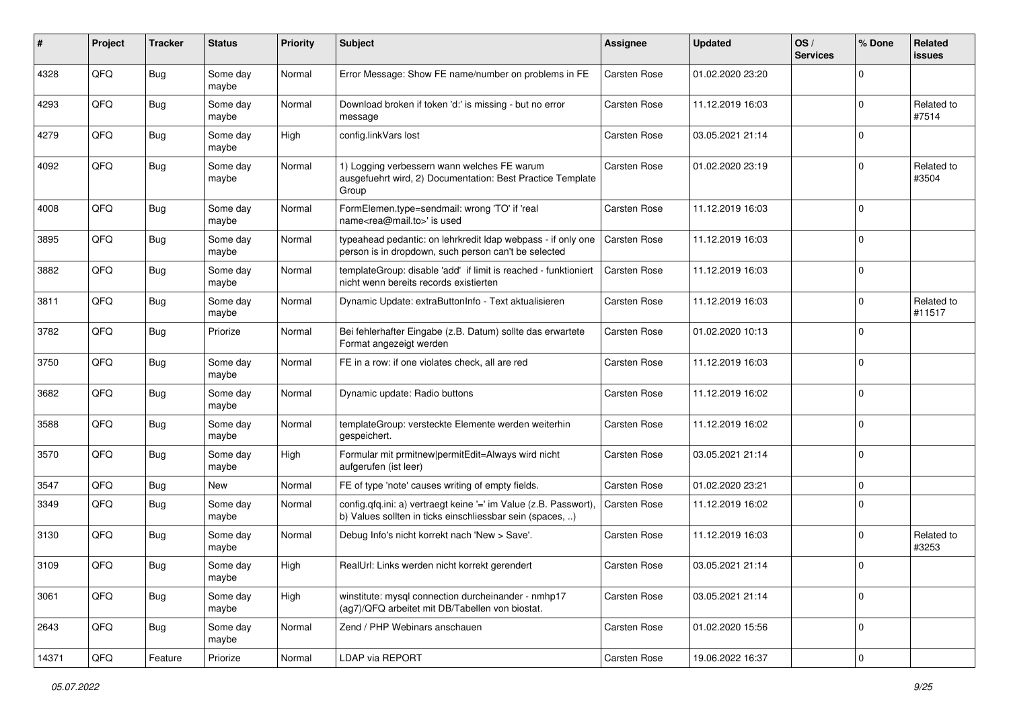| #     | Project | <b>Tracker</b> | <b>Status</b>     | <b>Priority</b> | <b>Subject</b>                                                                                                                | Assignee     | <b>Updated</b>   | OS/<br><b>Services</b> | % Done              | Related<br><b>issues</b> |
|-------|---------|----------------|-------------------|-----------------|-------------------------------------------------------------------------------------------------------------------------------|--------------|------------------|------------------------|---------------------|--------------------------|
| 4328  | QFQ     | <b>Bug</b>     | Some day<br>maybe | Normal          | Error Message: Show FE name/number on problems in FE                                                                          | Carsten Rose | 01.02.2020 23:20 |                        | $\Omega$            |                          |
| 4293  | QFQ     | <b>Bug</b>     | Some day<br>maybe | Normal          | Download broken if token 'd:' is missing - but no error<br>message                                                            | Carsten Rose | 11.12.2019 16:03 |                        | $\mathbf 0$         | Related to<br>#7514      |
| 4279  | QFQ     | <b>Bug</b>     | Some day<br>maybe | High            | config.linkVars lost                                                                                                          | Carsten Rose | 03.05.2021 21:14 |                        | $\mathbf 0$         |                          |
| 4092  | QFQ     | <b>Bug</b>     | Some day<br>maybe | Normal          | 1) Logging verbessern wann welches FE warum<br>ausgefuehrt wird, 2) Documentation: Best Practice Template<br>Group            | Carsten Rose | 01.02.2020 23:19 |                        | $\mathbf 0$         | Related to<br>#3504      |
| 4008  | QFQ     | <b>Bug</b>     | Some day<br>maybe | Normal          | FormElemen.type=sendmail: wrong 'TO' if 'real<br>name <rea@mail.to>' is used</rea@mail.to>                                    | Carsten Rose | 11.12.2019 16:03 |                        | $\mathbf 0$         |                          |
| 3895  | QFQ     | <b>Bug</b>     | Some day<br>maybe | Normal          | typeahead pedantic: on lehrkredit Idap webpass - if only one<br>person is in dropdown, such person can't be selected          | Carsten Rose | 11.12.2019 16:03 |                        | $\mathbf 0$         |                          |
| 3882  | QFQ     | <b>Bug</b>     | Some day<br>maybe | Normal          | templateGroup: disable 'add' if limit is reached - funktioniert<br>nicht wenn bereits records existierten                     | Carsten Rose | 11.12.2019 16:03 |                        | $\mathbf 0$         |                          |
| 3811  | QFQ     | <b>Bug</b>     | Some day<br>maybe | Normal          | Dynamic Update: extraButtonInfo - Text aktualisieren                                                                          | Carsten Rose | 11.12.2019 16:03 |                        | $\mathbf 0$         | Related to<br>#11517     |
| 3782  | QFQ     | <b>Bug</b>     | Priorize          | Normal          | Bei fehlerhafter Eingabe (z.B. Datum) sollte das erwartete<br>Format angezeigt werden                                         | Carsten Rose | 01.02.2020 10:13 |                        | $\mathbf 0$         |                          |
| 3750  | QFQ     | <b>Bug</b>     | Some day<br>maybe | Normal          | FE in a row: if one violates check, all are red                                                                               | Carsten Rose | 11.12.2019 16:03 |                        | $\mathbf 0$         |                          |
| 3682  | QFQ     | <b>Bug</b>     | Some day<br>maybe | Normal          | Dynamic update: Radio buttons                                                                                                 | Carsten Rose | 11.12.2019 16:02 |                        | $\mathbf 0$         |                          |
| 3588  | QFQ     | <b>Bug</b>     | Some day<br>maybe | Normal          | templateGroup: versteckte Elemente werden weiterhin<br>gespeichert.                                                           | Carsten Rose | 11.12.2019 16:02 |                        | $\mathbf 0$         |                          |
| 3570  | QFQ     | Bug            | Some day<br>maybe | High            | Formular mit prmitnew permitEdit=Always wird nicht<br>aufgerufen (ist leer)                                                   | Carsten Rose | 03.05.2021 21:14 |                        | $\mathbf 0$         |                          |
| 3547  | QFQ     | <b>Bug</b>     | New               | Normal          | FE of type 'note' causes writing of empty fields.                                                                             | Carsten Rose | 01.02.2020 23:21 |                        | $\mathbf 0$         |                          |
| 3349  | QFQ     | <b>Bug</b>     | Some day<br>maybe | Normal          | config.qfq.ini: a) vertraegt keine '=' im Value (z.B. Passwort),<br>b) Values sollten in ticks einschliessbar sein (spaces, ) | Carsten Rose | 11.12.2019 16:02 |                        | $\mathbf 0$         |                          |
| 3130  | QFQ     | <b>Bug</b>     | Some day<br>maybe | Normal          | Debug Info's nicht korrekt nach 'New > Save'.                                                                                 | Carsten Rose | 11.12.2019 16:03 |                        | $\mathbf 0$         | Related to<br>#3253      |
| 3109  | QFQ     | Bug            | Some day<br>maybe | High            | RealUrl: Links werden nicht korrekt gerendert                                                                                 | Carsten Rose | 03.05.2021 21:14 |                        | $\Omega$            |                          |
| 3061  | QFQ     | <b>Bug</b>     | Some day<br>maybe | High            | winstitute: mysql connection durcheinander - nmhp17<br>(ag7)/QFQ arbeitet mit DB/Tabellen von biostat.                        | Carsten Rose | 03.05.2021 21:14 |                        | $\mathbf 0$         |                          |
| 2643  | QFQ     | <b>Bug</b>     | Some day<br>maybe | Normal          | Zend / PHP Webinars anschauen                                                                                                 | Carsten Rose | 01.02.2020 15:56 |                        | $\mathbf 0$         |                          |
| 14371 | QFQ     | Feature        | Priorize          | Normal          | LDAP via REPORT                                                                                                               | Carsten Rose | 19.06.2022 16:37 |                        | $\mathsf{O}\xspace$ |                          |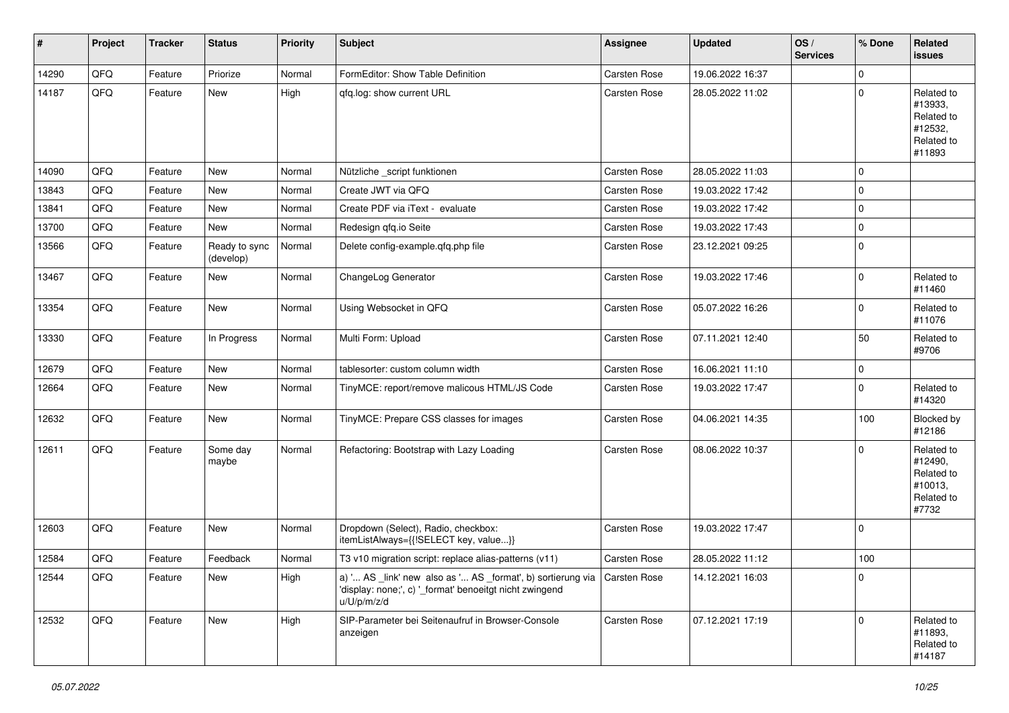| #     | Project | <b>Tracker</b> | <b>Status</b>              | <b>Priority</b> | <b>Subject</b>                                                                                                                                       | <b>Assignee</b> | <b>Updated</b>   | OS/<br><b>Services</b> | % Done      | Related<br>issues                                                      |
|-------|---------|----------------|----------------------------|-----------------|------------------------------------------------------------------------------------------------------------------------------------------------------|-----------------|------------------|------------------------|-------------|------------------------------------------------------------------------|
| 14290 | QFQ     | Feature        | Priorize                   | Normal          | FormEditor: Show Table Definition                                                                                                                    | Carsten Rose    | 19.06.2022 16:37 |                        | $\mathbf 0$ |                                                                        |
| 14187 | QFQ     | Feature        | New                        | High            | qfq.log: show current URL                                                                                                                            | Carsten Rose    | 28.05.2022 11:02 |                        | $\pmb{0}$   | Related to<br>#13933,<br>Related to<br>#12532,<br>Related to<br>#11893 |
| 14090 | QFQ     | Feature        | New                        | Normal          | Nützliche _script funktionen                                                                                                                         | Carsten Rose    | 28.05.2022 11:03 |                        | $\mathbf 0$ |                                                                        |
| 13843 | QFQ     | Feature        | New                        | Normal          | Create JWT via QFQ                                                                                                                                   | Carsten Rose    | 19.03.2022 17:42 |                        | $\mathbf 0$ |                                                                        |
| 13841 | QFQ     | Feature        | New                        | Normal          | Create PDF via iText - evaluate                                                                                                                      | Carsten Rose    | 19.03.2022 17:42 |                        | 0           |                                                                        |
| 13700 | QFQ     | Feature        | New                        | Normal          | Redesign qfq.io Seite                                                                                                                                | Carsten Rose    | 19.03.2022 17:43 |                        | $\mathbf 0$ |                                                                        |
| 13566 | QFQ     | Feature        | Ready to sync<br>(develop) | Normal          | Delete config-example.qfq.php file                                                                                                                   | Carsten Rose    | 23.12.2021 09:25 |                        | $\mathbf 0$ |                                                                        |
| 13467 | QFQ     | Feature        | New                        | Normal          | ChangeLog Generator                                                                                                                                  | Carsten Rose    | 19.03.2022 17:46 |                        | $\mathbf 0$ | Related to<br>#11460                                                   |
| 13354 | QFQ     | Feature        | New                        | Normal          | Using Websocket in QFQ                                                                                                                               | Carsten Rose    | 05.07.2022 16:26 |                        | 0           | Related to<br>#11076                                                   |
| 13330 | QFQ     | Feature        | In Progress                | Normal          | Multi Form: Upload                                                                                                                                   | Carsten Rose    | 07.11.2021 12:40 |                        | 50          | Related to<br>#9706                                                    |
| 12679 | QFQ     | Feature        | New                        | Normal          | tablesorter: custom column width                                                                                                                     | Carsten Rose    | 16.06.2021 11:10 |                        | $\mathbf 0$ |                                                                        |
| 12664 | QFQ     | Feature        | New                        | Normal          | TinyMCE: report/remove malicous HTML/JS Code                                                                                                         | Carsten Rose    | 19.03.2022 17:47 |                        | 0           | Related to<br>#14320                                                   |
| 12632 | QFQ     | Feature        | New                        | Normal          | TinyMCE: Prepare CSS classes for images                                                                                                              | Carsten Rose    | 04.06.2021 14:35 |                        | 100         | Blocked by<br>#12186                                                   |
| 12611 | QFQ     | Feature        | Some day<br>maybe          | Normal          | Refactoring: Bootstrap with Lazy Loading                                                                                                             | Carsten Rose    | 08.06.2022 10:37 |                        | $\mathbf 0$ | Related to<br>#12490,<br>Related to<br>#10013,<br>Related to<br>#7732  |
| 12603 | QFQ     | Feature        | New                        | Normal          | Dropdown (Select), Radio, checkbox:<br>itemListAlways={{!SELECT key, value}}                                                                         | Carsten Rose    | 19.03.2022 17:47 |                        | $\mathbf 0$ |                                                                        |
| 12584 | QFQ     | Feature        | Feedback                   | Normal          | T3 v10 migration script: replace alias-patterns (v11)                                                                                                | Carsten Rose    | 28.05.2022 11:12 |                        | 100         |                                                                        |
| 12544 | QFQ     | Feature        | New                        | High            | a) ' AS _link' new also as ' AS _format', b) sortierung via   Carsten Rose<br>'display: none;', c) '_format' benoeitgt nicht zwingend<br>u/U/p/m/z/d |                 | 14.12.2021 16:03 |                        | 0           |                                                                        |
| 12532 | QFQ     | Feature        | New                        | High            | SIP-Parameter bei Seitenaufruf in Browser-Console<br>anzeigen                                                                                        | Carsten Rose    | 07.12.2021 17:19 |                        | $\Omega$    | Related to<br>#11893,<br>Related to<br>#14187                          |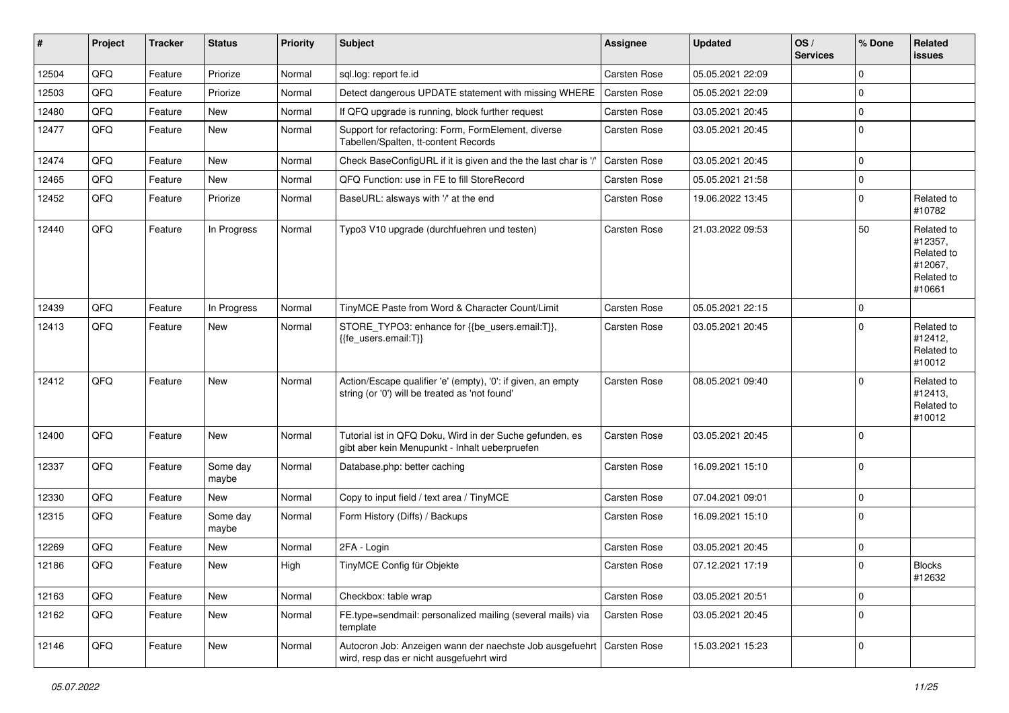| #     | Project | <b>Tracker</b> | <b>Status</b>     | <b>Priority</b> | <b>Subject</b>                                                                                                      | <b>Assignee</b>     | Updated          | OS/<br><b>Services</b> | % Done      | Related<br><b>issues</b>                                               |
|-------|---------|----------------|-------------------|-----------------|---------------------------------------------------------------------------------------------------------------------|---------------------|------------------|------------------------|-------------|------------------------------------------------------------------------|
| 12504 | QFQ     | Feature        | Priorize          | Normal          | sql.log: report fe.id                                                                                               | Carsten Rose        | 05.05.2021 22:09 |                        | $\Omega$    |                                                                        |
| 12503 | QFQ     | Feature        | Priorize          | Normal          | Detect dangerous UPDATE statement with missing WHERE                                                                | <b>Carsten Rose</b> | 05.05.2021 22:09 |                        | $\Omega$    |                                                                        |
| 12480 | QFQ     | Feature        | New               | Normal          | If QFQ upgrade is running, block further request                                                                    | Carsten Rose        | 03.05.2021 20:45 |                        | $\Omega$    |                                                                        |
| 12477 | QFQ     | Feature        | <b>New</b>        | Normal          | Support for refactoring: Form, FormElement, diverse<br>Tabellen/Spalten, tt-content Records                         | Carsten Rose        | 03.05.2021 20:45 |                        | $\Omega$    |                                                                        |
| 12474 | QFQ     | Feature        | New               | Normal          | Check BaseConfigURL if it is given and the the last char is '/'                                                     | Carsten Rose        | 03.05.2021 20:45 |                        | $\Omega$    |                                                                        |
| 12465 | QFQ     | Feature        | New               | Normal          | QFQ Function: use in FE to fill StoreRecord                                                                         | Carsten Rose        | 05.05.2021 21:58 |                        | 0           |                                                                        |
| 12452 | QFQ     | Feature        | Priorize          | Normal          | BaseURL: alsways with '/' at the end                                                                                | Carsten Rose        | 19.06.2022 13:45 |                        | $\Omega$    | Related to<br>#10782                                                   |
| 12440 | QFQ     | Feature        | In Progress       | Normal          | Typo3 V10 upgrade (durchfuehren und testen)                                                                         | Carsten Rose        | 21.03.2022 09:53 |                        | 50          | Related to<br>#12357,<br>Related to<br>#12067,<br>Related to<br>#10661 |
| 12439 | QFQ     | Feature        | In Progress       | Normal          | TinyMCE Paste from Word & Character Count/Limit                                                                     | Carsten Rose        | 05.05.2021 22:15 |                        | 0           |                                                                        |
| 12413 | QFQ     | Feature        | New               | Normal          | STORE_TYPO3: enhance for {{be_users.email:T}},<br>{{fe_users.email:T}}                                              | Carsten Rose        | 03.05.2021 20:45 |                        | $\Omega$    | Related to<br>#12412,<br>Related to<br>#10012                          |
| 12412 | QFQ     | Feature        | <b>New</b>        | Normal          | Action/Escape qualifier 'e' (empty), '0': if given, an empty<br>string (or '0') will be treated as 'not found'      | Carsten Rose        | 08.05.2021 09:40 |                        | $\Omega$    | Related to<br>#12413,<br>Related to<br>#10012                          |
| 12400 | QFQ     | Feature        | New               | Normal          | Tutorial ist in QFQ Doku, Wird in der Suche gefunden, es<br>gibt aber kein Menupunkt - Inhalt ueberpruefen          | Carsten Rose        | 03.05.2021 20:45 |                        | $\Omega$    |                                                                        |
| 12337 | QFQ     | Feature        | Some day<br>maybe | Normal          | Database.php: better caching                                                                                        | Carsten Rose        | 16.09.2021 15:10 |                        | $\Omega$    |                                                                        |
| 12330 | QFQ     | Feature        | <b>New</b>        | Normal          | Copy to input field / text area / TinyMCE                                                                           | Carsten Rose        | 07.04.2021 09:01 |                        | $\Omega$    |                                                                        |
| 12315 | QFQ     | Feature        | Some day<br>maybe | Normal          | Form History (Diffs) / Backups                                                                                      | Carsten Rose        | 16.09.2021 15:10 |                        | $\Omega$    |                                                                        |
| 12269 | QFQ     | Feature        | <b>New</b>        | Normal          | 2FA - Login                                                                                                         | <b>Carsten Rose</b> | 03.05.2021 20:45 |                        | $\Omega$    |                                                                        |
| 12186 | QFQ     | Feature        | New               | High            | TinyMCE Config für Objekte                                                                                          | <b>Carsten Rose</b> | 07.12.2021 17:19 |                        | $\mathbf 0$ | <b>Blocks</b><br>#12632                                                |
| 12163 | QFQ     | Feature        | New               | Normal          | Checkbox: table wrap                                                                                                | Carsten Rose        | 03.05.2021 20:51 |                        | $\pmb{0}$   |                                                                        |
| 12162 | QFQ     | Feature        | New               | Normal          | FE.type=sendmail: personalized mailing (several mails) via<br>template                                              | Carsten Rose        | 03.05.2021 20:45 |                        | $\Omega$    |                                                                        |
| 12146 | QFQ     | Feature        | New               | Normal          | Autocron Job: Anzeigen wann der naechste Job ausgefuehrt   Carsten Rose<br>wird, resp das er nicht ausgefuehrt wird |                     | 15.03.2021 15:23 |                        | 0           |                                                                        |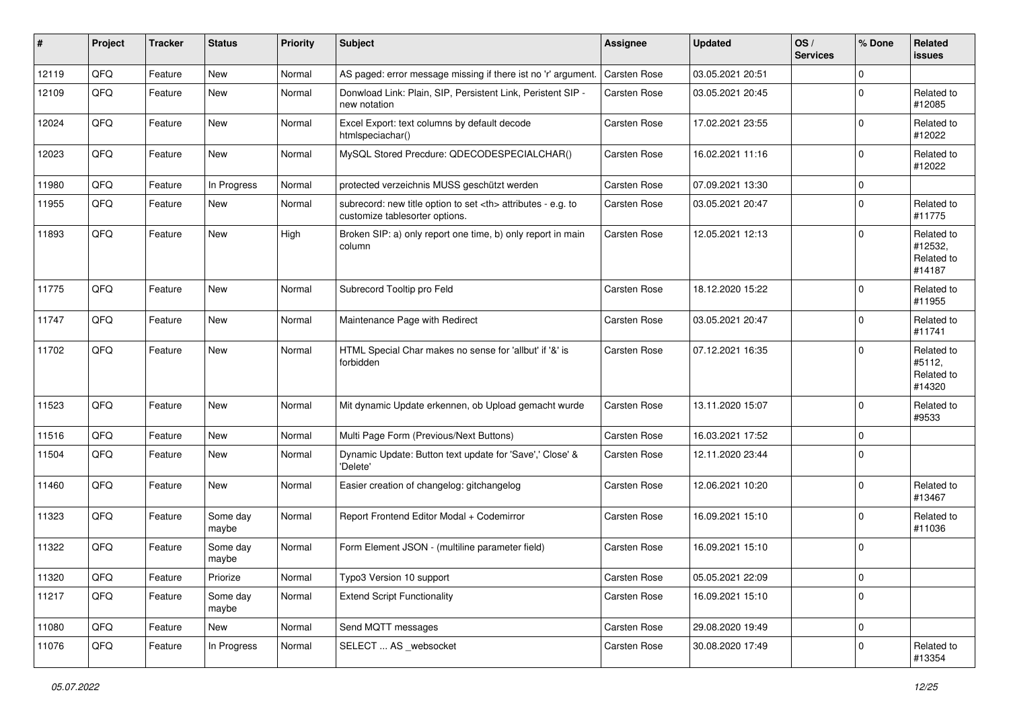| #     | Project | <b>Tracker</b> | <b>Status</b>     | <b>Priority</b> | <b>Subject</b>                                                                                       | <b>Assignee</b>                                        | <b>Updated</b>   | OS/<br><b>Services</b> | % Done      | Related<br><b>issues</b>                      |                      |
|-------|---------|----------------|-------------------|-----------------|------------------------------------------------------------------------------------------------------|--------------------------------------------------------|------------------|------------------------|-------------|-----------------------------------------------|----------------------|
| 12119 | QFQ     | Feature        | New               | Normal          | AS paged: error message missing if there ist no 'r' argument.                                        | Carsten Rose                                           | 03.05.2021 20:51 |                        | $\mathbf 0$ |                                               |                      |
| 12109 | QFQ     | Feature        | New               | Normal          | Donwload Link: Plain, SIP, Persistent Link, Peristent SIP -<br>new notation                          | Carsten Rose                                           | 03.05.2021 20:45 |                        | $\pmb{0}$   | Related to<br>#12085                          |                      |
| 12024 | QFQ     | Feature        | New               | Normal          | Excel Export: text columns by default decode<br>htmlspeciachar()                                     | Carsten Rose                                           | 17.02.2021 23:55 |                        | $\mathbf 0$ | Related to<br>#12022                          |                      |
| 12023 | QFQ     | Feature        | New               | Normal          | MySQL Stored Precdure: QDECODESPECIALCHAR()                                                          | Carsten Rose                                           | 16.02.2021 11:16 |                        | $\mathbf 0$ | Related to<br>#12022                          |                      |
| 11980 | QFQ     | Feature        | In Progress       | Normal          | protected verzeichnis MUSS geschützt werden                                                          | Carsten Rose                                           | 07.09.2021 13:30 |                        | $\mathbf 0$ |                                               |                      |
| 11955 | QFQ     | Feature        | New               | Normal          | subrecord: new title option to set <th> attributes - e.g. to<br/>customize tablesorter options.</th> | attributes - e.g. to<br>customize tablesorter options. | Carsten Rose     | 03.05.2021 20:47       |             | $\mathbf 0$                                   | Related to<br>#11775 |
| 11893 | QFQ     | Feature        | <b>New</b>        | High            | Broken SIP: a) only report one time, b) only report in main<br>column                                | Carsten Rose                                           | 12.05.2021 12:13 |                        | $\mathbf 0$ | Related to<br>#12532,<br>Related to<br>#14187 |                      |
| 11775 | QFQ     | Feature        | New               | Normal          | Subrecord Tooltip pro Feld                                                                           | Carsten Rose                                           | 18.12.2020 15:22 |                        | $\mathbf 0$ | Related to<br>#11955                          |                      |
| 11747 | QFQ     | Feature        | New               | Normal          | Maintenance Page with Redirect                                                                       | Carsten Rose                                           | 03.05.2021 20:47 |                        | $\mathbf 0$ | Related to<br>#11741                          |                      |
| 11702 | QFQ     | Feature        | New               | Normal          | HTML Special Char makes no sense for 'allbut' if '&' is<br>forbidden                                 | Carsten Rose                                           | 07.12.2021 16:35 |                        | $\mathbf 0$ | Related to<br>#5112,<br>Related to<br>#14320  |                      |
| 11523 | QFQ     | Feature        | New               | Normal          | Mit dynamic Update erkennen, ob Upload gemacht wurde                                                 | Carsten Rose                                           | 13.11.2020 15:07 |                        | $\mathbf 0$ | Related to<br>#9533                           |                      |
| 11516 | QFQ     | Feature        | New               | Normal          | Multi Page Form (Previous/Next Buttons)                                                              | Carsten Rose                                           | 16.03.2021 17:52 |                        | $\mathbf 0$ |                                               |                      |
| 11504 | QFQ     | Feature        | New               | Normal          | Dynamic Update: Button text update for 'Save',' Close' &<br>'Delete'                                 | Carsten Rose                                           | 12.11.2020 23:44 |                        | $\mathbf 0$ |                                               |                      |
| 11460 | QFQ     | Feature        | New               | Normal          | Easier creation of changelog: gitchangelog                                                           | Carsten Rose                                           | 12.06.2021 10:20 |                        | $\mathbf 0$ | Related to<br>#13467                          |                      |
| 11323 | QFQ     | Feature        | Some day<br>maybe | Normal          | Report Frontend Editor Modal + Codemirror                                                            | Carsten Rose                                           | 16.09.2021 15:10 |                        | $\mathbf 0$ | Related to<br>#11036                          |                      |
| 11322 | QFQ     | Feature        | Some day<br>maybe | Normal          | Form Element JSON - (multiline parameter field)                                                      | Carsten Rose                                           | 16.09.2021 15:10 |                        | 0           |                                               |                      |
| 11320 | QFG     | Feature        | Priorize          | Normal          | Typo3 Version 10 support                                                                             | Carsten Rose                                           | 05.05.2021 22:09 |                        | 0           |                                               |                      |
| 11217 | QFQ     | Feature        | Some day<br>maybe | Normal          | <b>Extend Script Functionality</b>                                                                   | Carsten Rose                                           | 16.09.2021 15:10 |                        | 0           |                                               |                      |
| 11080 | QFQ     | Feature        | New               | Normal          | Send MQTT messages                                                                                   | Carsten Rose                                           | 29.08.2020 19:49 |                        | 0           |                                               |                      |
| 11076 | QFQ     | Feature        | In Progress       | Normal          | SELECT  AS _websocket                                                                                | Carsten Rose                                           | 30.08.2020 17:49 |                        | 0           | Related to<br>#13354                          |                      |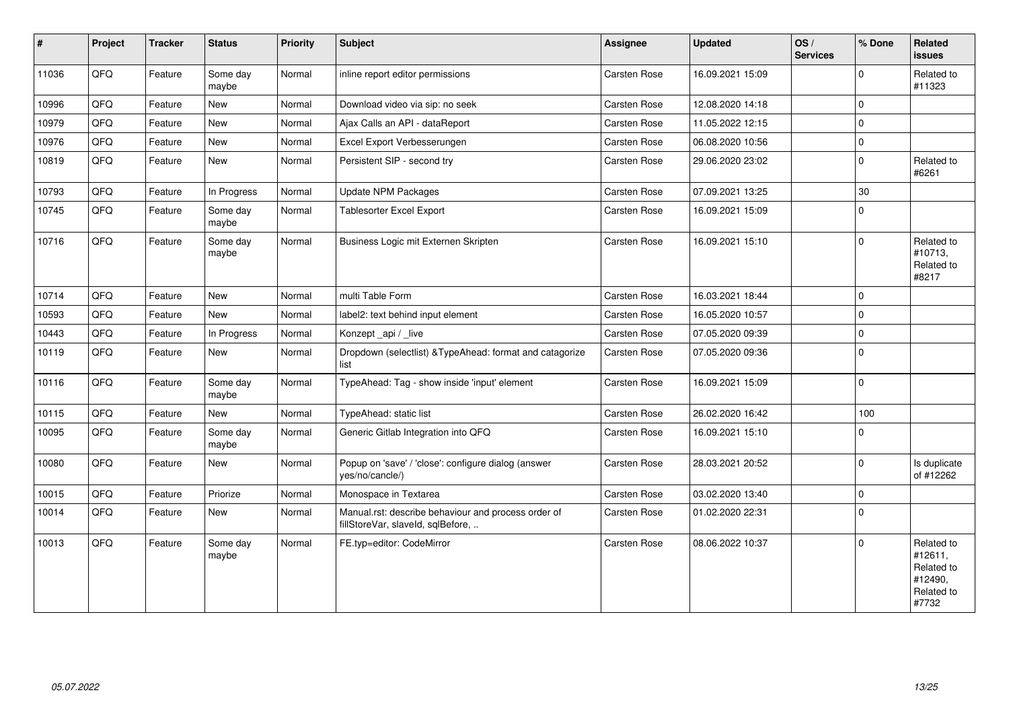| ∦     | Project | <b>Tracker</b> | <b>Status</b>     | <b>Priority</b> | Subject                                                                                  | <b>Assignee</b>     | Updated          | OS/<br><b>Services</b> | % Done      | Related<br><b>issues</b>                                              |
|-------|---------|----------------|-------------------|-----------------|------------------------------------------------------------------------------------------|---------------------|------------------|------------------------|-------------|-----------------------------------------------------------------------|
| 11036 | QFQ     | Feature        | Some day<br>maybe | Normal          | inline report editor permissions                                                         | Carsten Rose        | 16.09.2021 15:09 |                        | $\mathbf 0$ | Related to<br>#11323                                                  |
| 10996 | QFQ     | Feature        | New               | Normal          | Download video via sip: no seek                                                          | Carsten Rose        | 12.08.2020 14:18 |                        | $\Omega$    |                                                                       |
| 10979 | QFQ     | Feature        | <b>New</b>        | Normal          | Ajax Calls an API - dataReport                                                           | Carsten Rose        | 11.05.2022 12:15 |                        | $\Omega$    |                                                                       |
| 10976 | QFQ     | Feature        | New               | Normal          | Excel Export Verbesserungen                                                              | Carsten Rose        | 06.08.2020 10:56 |                        | $\mathbf 0$ |                                                                       |
| 10819 | QFQ     | Feature        | <b>New</b>        | Normal          | Persistent SIP - second try                                                              | Carsten Rose        | 29.06.2020 23:02 |                        | $\Omega$    | Related to<br>#6261                                                   |
| 10793 | QFQ     | Feature        | In Progress       | Normal          | <b>Update NPM Packages</b>                                                               | Carsten Rose        | 07.09.2021 13:25 |                        | 30          |                                                                       |
| 10745 | QFQ     | Feature        | Some day<br>maybe | Normal          | Tablesorter Excel Export                                                                 | Carsten Rose        | 16.09.2021 15:09 |                        | $\Omega$    |                                                                       |
| 10716 | QFQ     | Feature        | Some day<br>maybe | Normal          | Business Logic mit Externen Skripten                                                     | Carsten Rose        | 16.09.2021 15:10 |                        | $\Omega$    | Related to<br>#10713,<br>Related to<br>#8217                          |
| 10714 | QFQ     | Feature        | <b>New</b>        | Normal          | multi Table Form                                                                         | Carsten Rose        | 16.03.2021 18:44 |                        | $\mathbf 0$ |                                                                       |
| 10593 | QFQ     | Feature        | <b>New</b>        | Normal          | label2: text behind input element                                                        | Carsten Rose        | 16.05.2020 10:57 |                        | $\Omega$    |                                                                       |
| 10443 | QFQ     | Feature        | In Progress       | Normal          | Konzept_api / _live                                                                      | Carsten Rose        | 07.05.2020 09:39 |                        | $\pmb{0}$   |                                                                       |
| 10119 | QFQ     | Feature        | New               | Normal          | Dropdown (selectlist) & TypeAhead: format and catagorize<br>list                         | <b>Carsten Rose</b> | 07.05.2020 09:36 |                        | $\mathbf 0$ |                                                                       |
| 10116 | QFQ     | Feature        | Some day<br>maybe | Normal          | TypeAhead: Tag - show inside 'input' element                                             | <b>Carsten Rose</b> | 16.09.2021 15:09 |                        | $\Omega$    |                                                                       |
| 10115 | QFQ     | Feature        | New               | Normal          | TypeAhead: static list                                                                   | Carsten Rose        | 26.02.2020 16:42 |                        | 100         |                                                                       |
| 10095 | QFQ     | Feature        | Some day<br>maybe | Normal          | Generic Gitlab Integration into QFQ                                                      | Carsten Rose        | 16.09.2021 15:10 |                        | $\Omega$    |                                                                       |
| 10080 | QFQ     | Feature        | <b>New</b>        | Normal          | Popup on 'save' / 'close': configure dialog (answer<br>yes/no/cancle/)                   | <b>Carsten Rose</b> | 28.03.2021 20:52 |                        | $\mathbf 0$ | Is duplicate<br>of #12262                                             |
| 10015 | QFQ     | Feature        | Priorize          | Normal          | Monospace in Textarea                                                                    | Carsten Rose        | 03.02.2020 13:40 |                        | $\mathbf 0$ |                                                                       |
| 10014 | QFQ     | Feature        | New               | Normal          | Manual.rst: describe behaviour and process order of<br>fillStoreVar, slaveId, sqlBefore, | Carsten Rose        | 01.02.2020 22:31 |                        | $\Omega$    |                                                                       |
| 10013 | QFQ     | Feature        | Some day<br>maybe | Normal          | FE.typ=editor: CodeMirror                                                                | <b>Carsten Rose</b> | 08.06.2022 10:37 |                        | $\Omega$    | Related to<br>#12611,<br>Related to<br>#12490,<br>Related to<br>#7732 |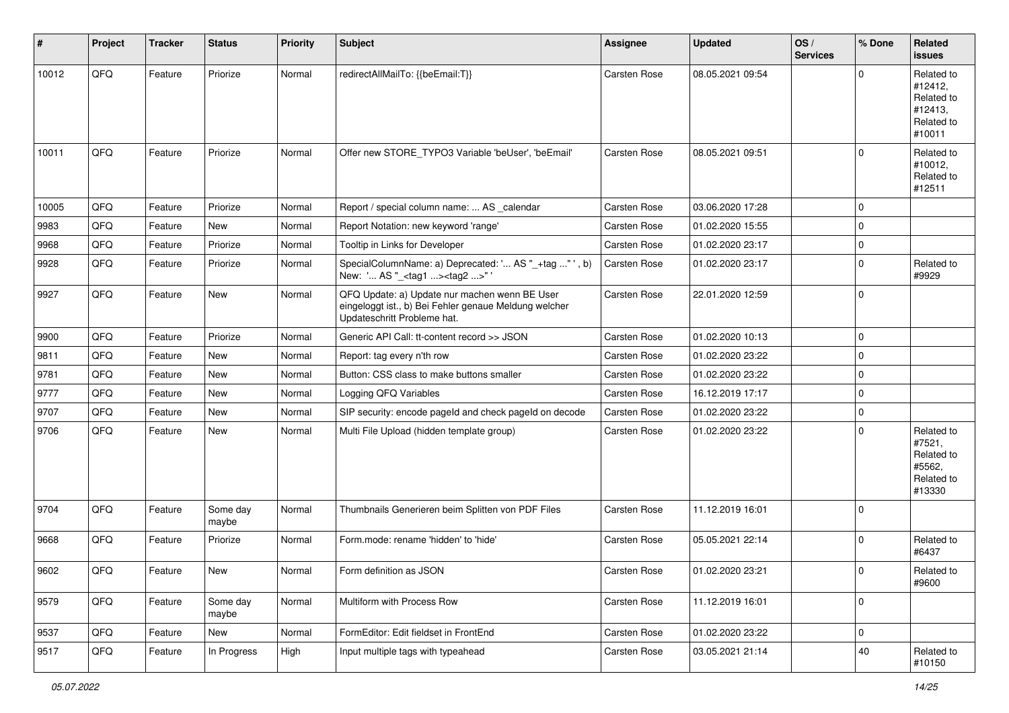| ∦     | Project | <b>Tracker</b> | <b>Status</b>     | <b>Priority</b> | <b>Subject</b>                                                                                                                        | <b>Assignee</b> | <b>Updated</b>   | OS/<br><b>Services</b> | % Done      | Related<br><b>issues</b>                                               |
|-------|---------|----------------|-------------------|-----------------|---------------------------------------------------------------------------------------------------------------------------------------|-----------------|------------------|------------------------|-------------|------------------------------------------------------------------------|
| 10012 | QFQ     | Feature        | Priorize          | Normal          | redirectAllMailTo: {{beEmail:T}}                                                                                                      | Carsten Rose    | 08.05.2021 09:54 |                        | $\Omega$    | Related to<br>#12412,<br>Related to<br>#12413,<br>Related to<br>#10011 |
| 10011 | QFQ     | Feature        | Priorize          | Normal          | Offer new STORE_TYPO3 Variable 'beUser', 'beEmail'                                                                                    | Carsten Rose    | 08.05.2021 09:51 |                        | $\Omega$    | Related to<br>#10012,<br>Related to<br>#12511                          |
| 10005 | QFQ     | Feature        | Priorize          | Normal          | Report / special column name:  AS _calendar                                                                                           | Carsten Rose    | 03.06.2020 17:28 |                        | $\mathbf 0$ |                                                                        |
| 9983  | QFQ     | Feature        | New               | Normal          | Report Notation: new keyword 'range'                                                                                                  | Carsten Rose    | 01.02.2020 15:55 |                        | $\mathbf 0$ |                                                                        |
| 9968  | QFQ     | Feature        | Priorize          | Normal          | Tooltip in Links for Developer                                                                                                        | Carsten Rose    | 01.02.2020 23:17 |                        | $\pmb{0}$   |                                                                        |
| 9928  | QFQ     | Feature        | Priorize          | Normal          | SpecialColumnName: a) Deprecated: ' AS "_+tag " ', b)<br>New: ' AS "_ <tag1><tag2>"</tag2></tag1>                                     | Carsten Rose    | 01.02.2020 23:17 |                        | $\mathbf 0$ | Related to<br>#9929                                                    |
| 9927  | QFQ     | Feature        | New               | Normal          | QFQ Update: a) Update nur machen wenn BE User<br>eingeloggt ist., b) Bei Fehler genaue Meldung welcher<br>Updateschritt Probleme hat. | Carsten Rose    | 22.01.2020 12:59 |                        | $\Omega$    |                                                                        |
| 9900  | QFQ     | Feature        | Priorize          | Normal          | Generic API Call: tt-content record >> JSON                                                                                           | Carsten Rose    | 01.02.2020 10:13 |                        | $\mathbf 0$ |                                                                        |
| 9811  | QFQ     | Feature        | New               | Normal          | Report: tag every n'th row                                                                                                            | Carsten Rose    | 01.02.2020 23:22 |                        | $\mathbf 0$ |                                                                        |
| 9781  | QFQ     | Feature        | New               | Normal          | Button: CSS class to make buttons smaller                                                                                             | Carsten Rose    | 01.02.2020 23:22 |                        | $\mathbf 0$ |                                                                        |
| 9777  | QFQ     | Feature        | New               | Normal          | Logging QFQ Variables                                                                                                                 | Carsten Rose    | 16.12.2019 17:17 |                        | $\mathbf 0$ |                                                                        |
| 9707  | QFQ     | Feature        | New               | Normal          | SIP security: encode pageId and check pageId on decode                                                                                | Carsten Rose    | 01.02.2020 23:22 |                        | $\mathbf 0$ |                                                                        |
| 9706  | QFQ     | Feature        | New               | Normal          | Multi File Upload (hidden template group)                                                                                             | Carsten Rose    | 01.02.2020 23:22 |                        | $\mathbf 0$ | Related to<br>#7521,<br>Related to<br>#5562,<br>Related to<br>#13330   |
| 9704  | QFQ     | Feature        | Some day<br>maybe | Normal          | Thumbnails Generieren beim Splitten von PDF Files                                                                                     | Carsten Rose    | 11.12.2019 16:01 |                        | $\Omega$    |                                                                        |
| 9668  | QFQ     | Feature        | Priorize          | Normal          | Form.mode: rename 'hidden' to 'hide'                                                                                                  | Carsten Rose    | 05.05.2021 22:14 |                        | $\Omega$    | Related to<br>#6437                                                    |
| 9602  | QFG     | Feature        | New               | Normal          | Form definition as JSON                                                                                                               | Carsten Rose    | 01.02.2020 23:21 |                        | 0           | Related to<br>#9600                                                    |
| 9579  | QFQ     | Feature        | Some day<br>maybe | Normal          | Multiform with Process Row                                                                                                            | Carsten Rose    | 11.12.2019 16:01 |                        | $\mathbf 0$ |                                                                        |
| 9537  | QFQ     | Feature        | New               | Normal          | FormEditor: Edit fieldset in FrontEnd                                                                                                 | Carsten Rose    | 01.02.2020 23:22 |                        | 0           |                                                                        |
| 9517  | QFQ     | Feature        | In Progress       | High            | Input multiple tags with typeahead                                                                                                    | Carsten Rose    | 03.05.2021 21:14 |                        | 40          | Related to<br>#10150                                                   |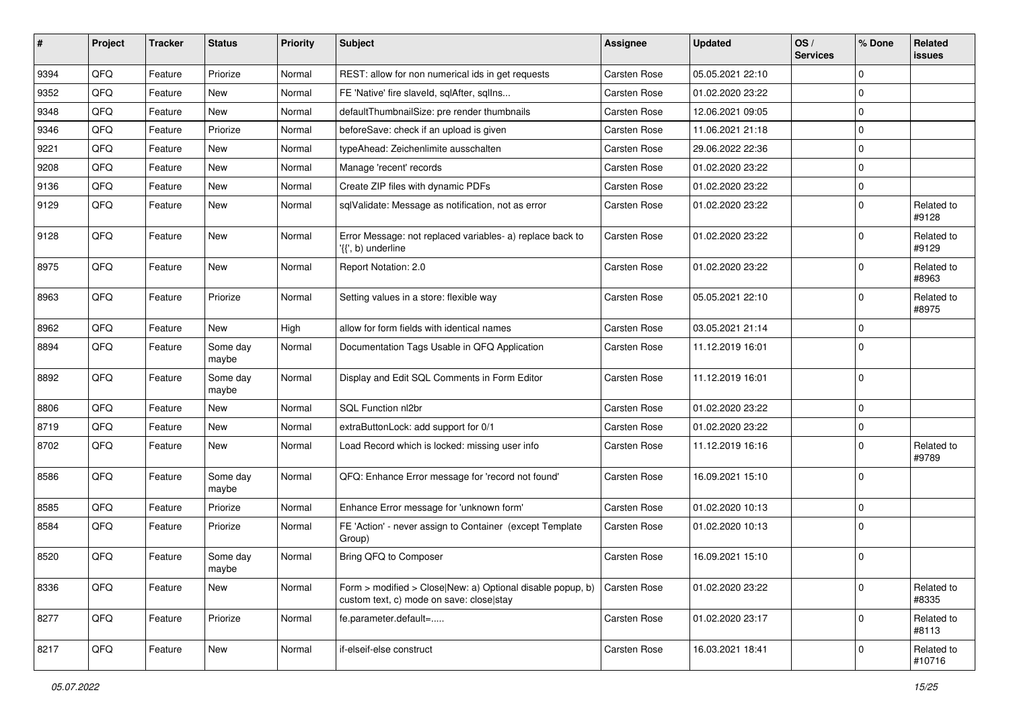| ∦    | Project | <b>Tracker</b> | <b>Status</b>     | <b>Priority</b> | <b>Subject</b>                                                                                         | <b>Assignee</b> | <b>Updated</b>   | OS/<br><b>Services</b> | % Done      | Related<br><b>issues</b> |
|------|---------|----------------|-------------------|-----------------|--------------------------------------------------------------------------------------------------------|-----------------|------------------|------------------------|-------------|--------------------------|
| 9394 | QFQ     | Feature        | Priorize          | Normal          | REST: allow for non numerical ids in get requests                                                      | Carsten Rose    | 05.05.2021 22:10 |                        | $\mathbf 0$ |                          |
| 9352 | QFQ     | Feature        | New               | Normal          | FE 'Native' fire slaveld, sqlAfter, sqlIns                                                             | Carsten Rose    | 01.02.2020 23:22 |                        | 0           |                          |
| 9348 | QFQ     | Feature        | New               | Normal          | defaultThumbnailSize: pre render thumbnails                                                            | Carsten Rose    | 12.06.2021 09:05 |                        | $\mathbf 0$ |                          |
| 9346 | QFQ     | Feature        | Priorize          | Normal          | beforeSave: check if an upload is given                                                                | Carsten Rose    | 11.06.2021 21:18 |                        | $\mathbf 0$ |                          |
| 9221 | QFQ     | Feature        | New               | Normal          | typeAhead: Zeichenlimite ausschalten                                                                   | Carsten Rose    | 29.06.2022 22:36 |                        | $\mathbf 0$ |                          |
| 9208 | QFQ     | Feature        | New               | Normal          | Manage 'recent' records                                                                                | Carsten Rose    | 01.02.2020 23:22 |                        | $\mathbf 0$ |                          |
| 9136 | QFQ     | Feature        | New               | Normal          | Create ZIP files with dynamic PDFs                                                                     | Carsten Rose    | 01.02.2020 23:22 |                        | $\mathbf 0$ |                          |
| 9129 | QFQ     | Feature        | New               | Normal          | sqlValidate: Message as notification, not as error                                                     | Carsten Rose    | 01.02.2020 23:22 |                        | $\mathbf 0$ | Related to<br>#9128      |
| 9128 | QFQ     | Feature        | New               | Normal          | Error Message: not replaced variables- a) replace back to<br>'{{', b) underline                        | Carsten Rose    | 01.02.2020 23:22 |                        | 0           | Related to<br>#9129      |
| 8975 | QFQ     | Feature        | New               | Normal          | Report Notation: 2.0                                                                                   | Carsten Rose    | 01.02.2020 23:22 |                        | $\mathbf 0$ | Related to<br>#8963      |
| 8963 | QFQ     | Feature        | Priorize          | Normal          | Setting values in a store: flexible way                                                                | Carsten Rose    | 05.05.2021 22:10 |                        | $\mathbf 0$ | Related to<br>#8975      |
| 8962 | QFQ     | Feature        | New               | High            | allow for form fields with identical names                                                             | Carsten Rose    | 03.05.2021 21:14 |                        | $\mathbf 0$ |                          |
| 8894 | QFQ     | Feature        | Some day<br>maybe | Normal          | Documentation Tags Usable in QFQ Application                                                           | Carsten Rose    | 11.12.2019 16:01 |                        | $\mathbf 0$ |                          |
| 8892 | QFQ     | Feature        | Some day<br>maybe | Normal          | Display and Edit SQL Comments in Form Editor                                                           | Carsten Rose    | 11.12.2019 16:01 |                        | $\mathbf 0$ |                          |
| 8806 | QFQ     | Feature        | New               | Normal          | SQL Function nl2br                                                                                     | Carsten Rose    | 01.02.2020 23:22 |                        | $\mathbf 0$ |                          |
| 8719 | QFQ     | Feature        | New               | Normal          | extraButtonLock: add support for 0/1                                                                   | Carsten Rose    | 01.02.2020 23:22 |                        | $\mathbf 0$ |                          |
| 8702 | QFQ     | Feature        | New               | Normal          | Load Record which is locked: missing user info                                                         | Carsten Rose    | 11.12.2019 16:16 |                        | $\mathbf 0$ | Related to<br>#9789      |
| 8586 | QFQ     | Feature        | Some day<br>maybe | Normal          | QFQ: Enhance Error message for 'record not found'                                                      | Carsten Rose    | 16.09.2021 15:10 |                        | $\mathbf 0$ |                          |
| 8585 | QFQ     | Feature        | Priorize          | Normal          | Enhance Error message for 'unknown form'                                                               | Carsten Rose    | 01.02.2020 10:13 |                        | $\mathbf 0$ |                          |
| 8584 | QFQ     | Feature        | Priorize          | Normal          | FE 'Action' - never assign to Container (except Template<br>Group)                                     | Carsten Rose    | 01.02.2020 10:13 |                        | $\mathbf 0$ |                          |
| 8520 | QFQ     | Feature        | Some day<br>maybe | Normal          | Bring QFQ to Composer                                                                                  | Carsten Rose    | 16.09.2021 15:10 |                        | $\mathbf 0$ |                          |
| 8336 | QFQ     | Feature        | New               | Normal          | Form > modified > Close New: a) Optional disable popup, b)<br>custom text, c) mode on save: close stay | Carsten Rose    | 01.02.2020 23:22 |                        | $\pmb{0}$   | Related to<br>#8335      |
| 8277 | QFQ     | Feature        | Priorize          | Normal          | fe.parameter.default=                                                                                  | Carsten Rose    | 01.02.2020 23:17 |                        | $\mathbf 0$ | Related to<br>#8113      |
| 8217 | QFQ     | Feature        | New               | Normal          | if-elseif-else construct                                                                               | Carsten Rose    | 16.03.2021 18:41 |                        | $\mathbf 0$ | Related to<br>#10716     |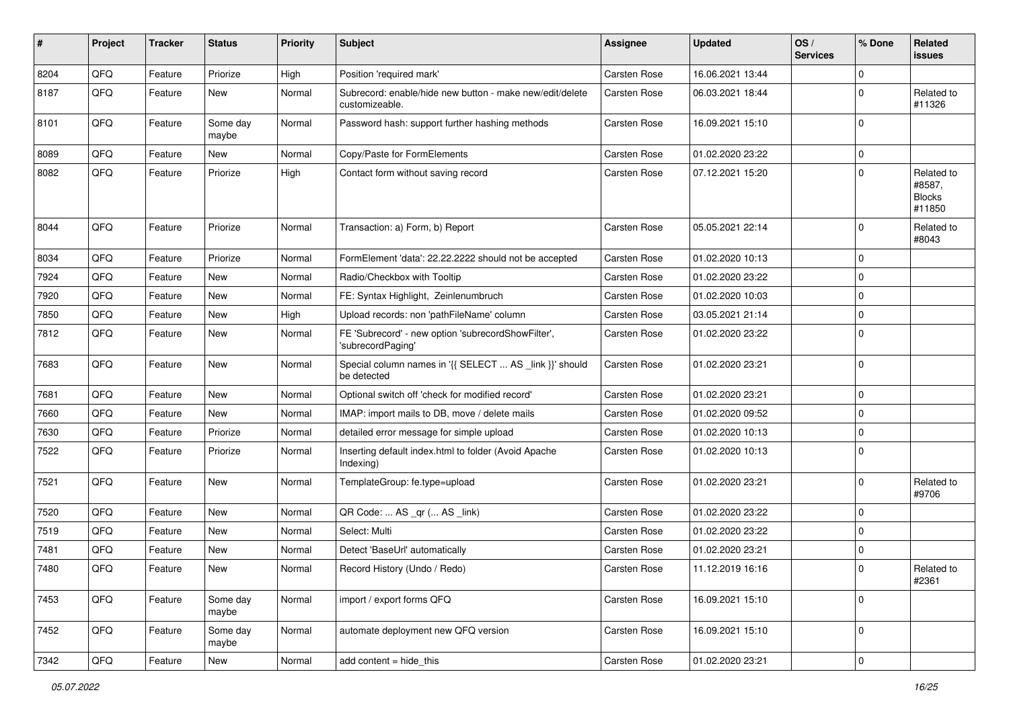| #    | Project        | <b>Tracker</b> | <b>Status</b>     | <b>Priority</b> | Subject                                                                    | <b>Assignee</b>     | <b>Updated</b>   | OS/<br><b>Services</b> | % Done      | Related<br>issues                               |
|------|----------------|----------------|-------------------|-----------------|----------------------------------------------------------------------------|---------------------|------------------|------------------------|-------------|-------------------------------------------------|
| 8204 | QFQ            | Feature        | Priorize          | High            | Position 'required mark'                                                   | Carsten Rose        | 16.06.2021 13:44 |                        | $\mathbf 0$ |                                                 |
| 8187 | QFQ            | Feature        | New               | Normal          | Subrecord: enable/hide new button - make new/edit/delete<br>customizeable. | Carsten Rose        | 06.03.2021 18:44 |                        | $\Omega$    | Related to<br>#11326                            |
| 8101 | QFQ            | Feature        | Some day<br>maybe | Normal          | Password hash: support further hashing methods                             | Carsten Rose        | 16.09.2021 15:10 |                        | $\Omega$    |                                                 |
| 8089 | QFQ            | Feature        | New               | Normal          | Copy/Paste for FormElements                                                | Carsten Rose        | 01.02.2020 23:22 |                        | $\mathbf 0$ |                                                 |
| 8082 | QFQ            | Feature        | Priorize          | High            | Contact form without saving record                                         | Carsten Rose        | 07.12.2021 15:20 |                        | $\Omega$    | Related to<br>#8587,<br><b>Blocks</b><br>#11850 |
| 8044 | QFQ            | Feature        | Priorize          | Normal          | Transaction: a) Form, b) Report                                            | Carsten Rose        | 05.05.2021 22:14 |                        | $\Omega$    | Related to<br>#8043                             |
| 8034 | QFQ            | Feature        | Priorize          | Normal          | FormElement 'data': 22.22.2222 should not be accepted                      | Carsten Rose        | 01.02.2020 10:13 |                        | $\Omega$    |                                                 |
| 7924 | QFQ            | Feature        | New               | Normal          | Radio/Checkbox with Tooltip                                                | Carsten Rose        | 01.02.2020 23:22 |                        | $\Omega$    |                                                 |
| 7920 | QFQ            | Feature        | <b>New</b>        | Normal          | FE: Syntax Highlight, Zeinlenumbruch                                       | Carsten Rose        | 01.02.2020 10:03 |                        | $\Omega$    |                                                 |
| 7850 | QFQ            | Feature        | New               | High            | Upload records: non 'pathFileName' column                                  | Carsten Rose        | 03.05.2021 21:14 |                        | $\Omega$    |                                                 |
| 7812 | QFQ            | Feature        | <b>New</b>        | Normal          | FE 'Subrecord' - new option 'subrecordShowFilter',<br>'subrecordPaging'    | Carsten Rose        | 01.02.2020 23:22 |                        | $\Omega$    |                                                 |
| 7683 | QFQ            | Feature        | New               | Normal          | Special column names in '{{ SELECT  AS _link }}' should<br>be detected     | <b>Carsten Rose</b> | 01.02.2020 23:21 |                        | $\Omega$    |                                                 |
| 7681 | QFQ            | Feature        | New               | Normal          | Optional switch off 'check for modified record'                            | Carsten Rose        | 01.02.2020 23:21 |                        | $\mathbf 0$ |                                                 |
| 7660 | QFQ            | Feature        | New               | Normal          | IMAP: import mails to DB, move / delete mails                              | Carsten Rose        | 01.02.2020 09:52 |                        | $\Omega$    |                                                 |
| 7630 | QFQ            | Feature        | Priorize          | Normal          | detailed error message for simple upload                                   | Carsten Rose        | 01.02.2020 10:13 |                        | $\Omega$    |                                                 |
| 7522 | QFQ            | Feature        | Priorize          | Normal          | Inserting default index.html to folder (Avoid Apache<br>Indexing)          | Carsten Rose        | 01.02.2020 10:13 |                        | $\Omega$    |                                                 |
| 7521 | QFQ            | Feature        | New               | Normal          | TemplateGroup: fe.type=upload                                              | Carsten Rose        | 01.02.2020 23:21 |                        | $\Omega$    | Related to<br>#9706                             |
| 7520 | QFQ            | Feature        | <b>New</b>        | Normal          | QR Code:  AS _qr ( AS _link)                                               | <b>Carsten Rose</b> | 01.02.2020 23:22 |                        | $\Omega$    |                                                 |
| 7519 | QFQ            | Feature        | New               | Normal          | Select: Multi                                                              | Carsten Rose        | 01.02.2020 23:22 |                        | $\Omega$    |                                                 |
| 7481 | QFQ            | Feature        | New               | Normal          | Detect 'BaseUrl' automatically                                             | Carsten Rose        | 01.02.2020 23:21 |                        | $\Omega$    |                                                 |
| 7480 | $\mathsf{QFQ}$ | Feature        | New               | Normal          | Record History (Undo / Redo)                                               | Carsten Rose        | 11.12.2019 16:16 |                        | 0           | Related to<br>#2361                             |
| 7453 | QFQ            | Feature        | Some day<br>maybe | Normal          | import / export forms QFQ                                                  | Carsten Rose        | 16.09.2021 15:10 |                        | $\mathbf 0$ |                                                 |
| 7452 | QFQ            | Feature        | Some day<br>maybe | Normal          | automate deployment new QFQ version                                        | Carsten Rose        | 16.09.2021 15:10 |                        | $\mathbf 0$ |                                                 |
| 7342 | QFQ            | Feature        | New               | Normal          | add content = hide_this                                                    | Carsten Rose        | 01.02.2020 23:21 |                        | $\pmb{0}$   |                                                 |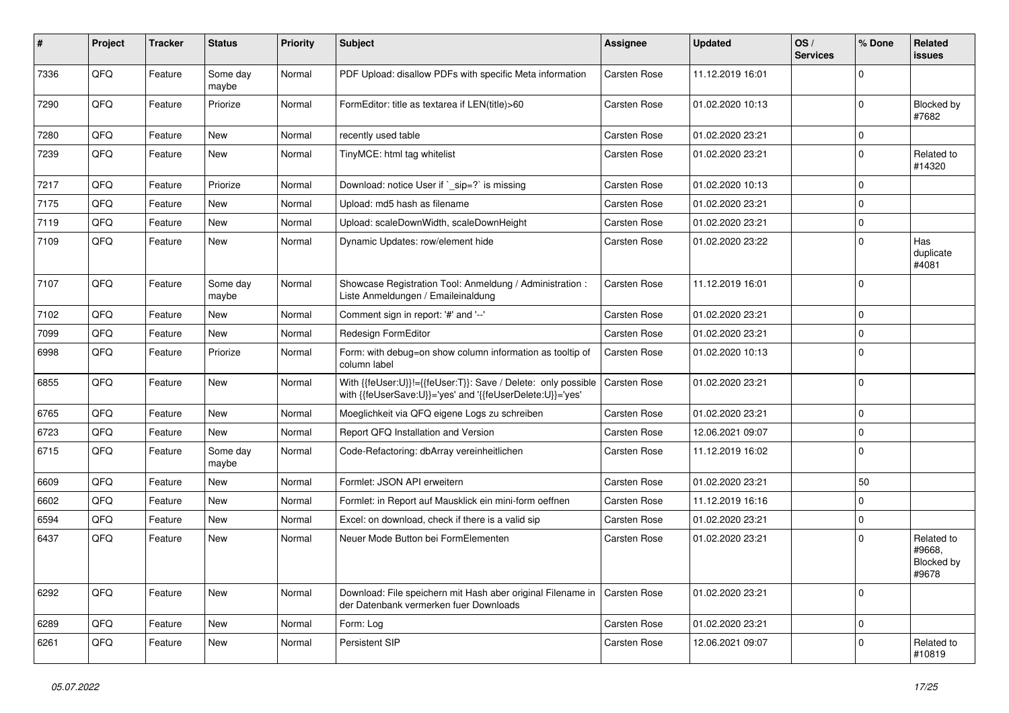| #    | <b>Project</b> | <b>Tracker</b> | <b>Status</b>     | <b>Priority</b> | <b>Subject</b>                                                                                                                            | <b>Assignee</b> | <b>Updated</b>   | OS/<br><b>Services</b> | % Done      | Related<br>issues                           |
|------|----------------|----------------|-------------------|-----------------|-------------------------------------------------------------------------------------------------------------------------------------------|-----------------|------------------|------------------------|-------------|---------------------------------------------|
| 7336 | QFQ            | Feature        | Some day<br>maybe | Normal          | PDF Upload: disallow PDFs with specific Meta information                                                                                  | Carsten Rose    | 11.12.2019 16:01 |                        | $\Omega$    |                                             |
| 7290 | QFQ            | Feature        | Priorize          | Normal          | FormEditor: title as textarea if LEN(title)>60                                                                                            | Carsten Rose    | 01.02.2020 10:13 |                        | $\mathbf 0$ | Blocked by<br>#7682                         |
| 7280 | QFQ            | Feature        | <b>New</b>        | Normal          | recently used table                                                                                                                       | Carsten Rose    | 01.02.2020 23:21 |                        | $\Omega$    |                                             |
| 7239 | QFQ            | Feature        | <b>New</b>        | Normal          | TinyMCE: html tag whitelist                                                                                                               | Carsten Rose    | 01.02.2020 23:21 |                        | $\mathbf 0$ | Related to<br>#14320                        |
| 7217 | QFQ            | Feature        | Priorize          | Normal          | Download: notice User if ` sip=?` is missing                                                                                              | Carsten Rose    | 01.02.2020 10:13 |                        | $\Omega$    |                                             |
| 7175 | QFQ            | Feature        | <b>New</b>        | Normal          | Upload: md5 hash as filename                                                                                                              | Carsten Rose    | 01.02.2020 23:21 |                        | $\mathbf 0$ |                                             |
| 7119 | QFQ            | Feature        | <b>New</b>        | Normal          | Upload: scaleDownWidth, scaleDownHeight                                                                                                   | Carsten Rose    | 01.02.2020 23:21 |                        | $\mathbf 0$ |                                             |
| 7109 | QFQ            | Feature        | <b>New</b>        | Normal          | Dynamic Updates: row/element hide                                                                                                         | Carsten Rose    | 01.02.2020 23:22 |                        | $\Omega$    | Has<br>duplicate<br>#4081                   |
| 7107 | QFQ            | Feature        | Some day<br>maybe | Normal          | Showcase Registration Tool: Anmeldung / Administration :<br>Liste Anmeldungen / Emaileinaldung                                            | Carsten Rose    | 11.12.2019 16:01 |                        | $\Omega$    |                                             |
| 7102 | QFQ            | Feature        | <b>New</b>        | Normal          | Comment sign in report: '#' and '--'                                                                                                      | Carsten Rose    | 01.02.2020 23:21 |                        | $\Omega$    |                                             |
| 7099 | QFQ            | Feature        | <b>New</b>        | Normal          | <b>Redesign FormEditor</b>                                                                                                                | Carsten Rose    | 01.02.2020 23:21 |                        | $\Omega$    |                                             |
| 6998 | QFQ            | Feature        | Priorize          | Normal          | Form: with debug=on show column information as tooltip of<br>column label                                                                 | Carsten Rose    | 01.02.2020 10:13 |                        | $\Omega$    |                                             |
| 6855 | QFQ            | Feature        | <b>New</b>        | Normal          | With {{feUser:U}}!={{feUser:T}}: Save / Delete: only possible   Carsten Rose<br>with {{feUserSave:U}}='yes' and '{{feUserDelete:U}}='yes' |                 | 01.02.2020 23:21 |                        | $\Omega$    |                                             |
| 6765 | QFQ            | Feature        | <b>New</b>        | Normal          | Moeglichkeit via QFQ eigene Logs zu schreiben                                                                                             | Carsten Rose    | 01.02.2020 23:21 |                        | $\Omega$    |                                             |
| 6723 | QFQ            | Feature        | <b>New</b>        | Normal          | Report QFQ Installation and Version                                                                                                       | Carsten Rose    | 12.06.2021 09:07 |                        | $\Omega$    |                                             |
| 6715 | QFQ            | Feature        | Some day<br>maybe | Normal          | Code-Refactoring: dbArray vereinheitlichen                                                                                                | Carsten Rose    | 11.12.2019 16:02 |                        | $\Omega$    |                                             |
| 6609 | QFQ            | Feature        | <b>New</b>        | Normal          | Formlet: JSON API erweitern                                                                                                               | Carsten Rose    | 01.02.2020 23:21 |                        | 50          |                                             |
| 6602 | QFQ            | Feature        | <b>New</b>        | Normal          | Formlet: in Report auf Mausklick ein mini-form oeffnen                                                                                    | Carsten Rose    | 11.12.2019 16:16 |                        | $\mathbf 0$ |                                             |
| 6594 | QFQ            | Feature        | <b>New</b>        | Normal          | Excel: on download, check if there is a valid sip                                                                                         | Carsten Rose    | 01.02.2020 23:21 |                        | $\mathbf 0$ |                                             |
| 6437 | QFQ            | Feature        | <b>New</b>        | Normal          | Neuer Mode Button bei FormElementen                                                                                                       | Carsten Rose    | 01.02.2020 23:21 |                        | $\Omega$    | Related to<br>#9668,<br>Blocked by<br>#9678 |
| 6292 | QFQ            | Feature        | <b>New</b>        | Normal          | Download: File speichern mit Hash aber original Filename in   Carsten Rose<br>der Datenbank vermerken fuer Downloads                      |                 | 01.02.2020 23:21 |                        | $\Omega$    |                                             |
| 6289 | QFQ            | Feature        | <b>New</b>        | Normal          | Form: Log                                                                                                                                 | Carsten Rose    | 01.02.2020 23:21 |                        | $\mathbf 0$ |                                             |
| 6261 | QFQ            | Feature        | New               | Normal          | <b>Persistent SIP</b>                                                                                                                     | Carsten Rose    | 12.06.2021 09:07 |                        | $\Omega$    | Related to<br>#10819                        |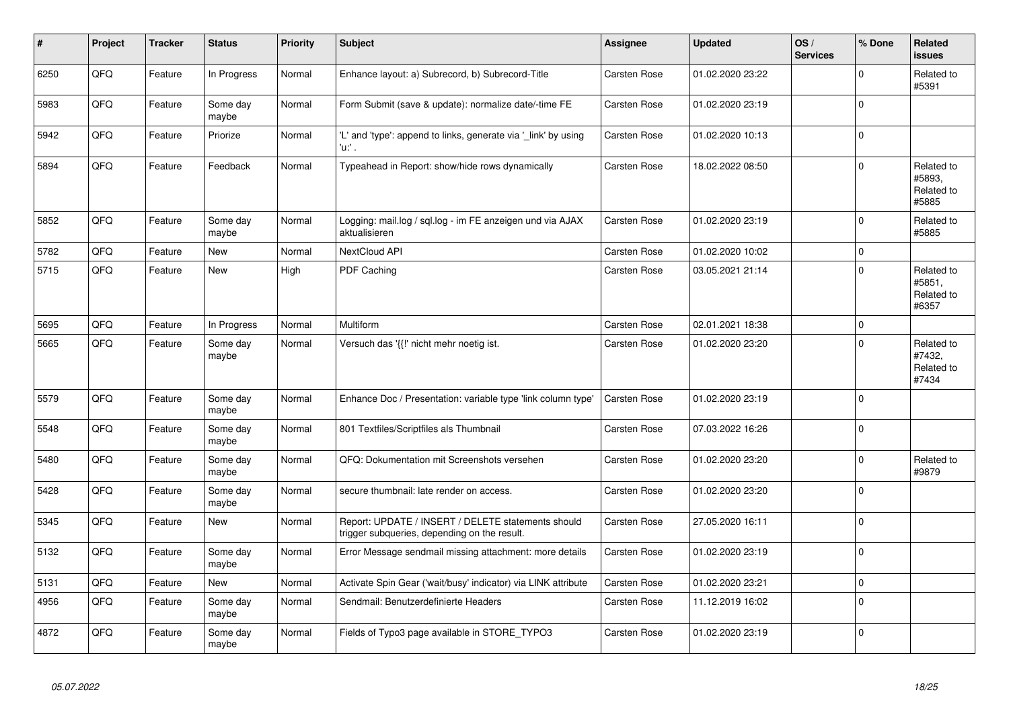| ∦    | Project | <b>Tracker</b> | <b>Status</b>     | <b>Priority</b> | <b>Subject</b>                                                                                     | <b>Assignee</b>     | <b>Updated</b>   | OS/<br><b>Services</b> | % Done      | Related<br><b>issues</b>                    |
|------|---------|----------------|-------------------|-----------------|----------------------------------------------------------------------------------------------------|---------------------|------------------|------------------------|-------------|---------------------------------------------|
| 6250 | QFQ     | Feature        | In Progress       | Normal          | Enhance layout: a) Subrecord, b) Subrecord-Title                                                   | <b>Carsten Rose</b> | 01.02.2020 23:22 |                        | $\mathbf 0$ | Related to<br>#5391                         |
| 5983 | QFQ     | Feature        | Some day<br>maybe | Normal          | Form Submit (save & update): normalize date/-time FE                                               | Carsten Rose        | 01.02.2020 23:19 |                        | $\mathbf 0$ |                                             |
| 5942 | QFQ     | Feature        | Priorize          | Normal          | 'L' and 'type': append to links, generate via '_link' by using<br>'u:' .                           | Carsten Rose        | 01.02.2020 10:13 |                        | $\mathbf 0$ |                                             |
| 5894 | QFQ     | Feature        | Feedback          | Normal          | Typeahead in Report: show/hide rows dynamically                                                    | <b>Carsten Rose</b> | 18.02.2022 08:50 |                        | $\Omega$    | Related to<br>#5893.<br>Related to<br>#5885 |
| 5852 | QFQ     | Feature        | Some day<br>maybe | Normal          | Logging: mail.log / sql.log - im FE anzeigen und via AJAX<br>aktualisieren                         | <b>Carsten Rose</b> | 01.02.2020 23:19 |                        | $\mathbf 0$ | Related to<br>#5885                         |
| 5782 | QFQ     | Feature        | <b>New</b>        | Normal          | NextCloud API                                                                                      | Carsten Rose        | 01.02.2020 10:02 |                        | $\mathbf 0$ |                                             |
| 5715 | QFQ     | Feature        | <b>New</b>        | High            | PDF Caching                                                                                        | <b>Carsten Rose</b> | 03.05.2021 21:14 |                        | $\mathbf 0$ | Related to<br>#5851,<br>Related to<br>#6357 |
| 5695 | QFQ     | Feature        | In Progress       | Normal          | Multiform                                                                                          | Carsten Rose        | 02.01.2021 18:38 |                        | $\Omega$    |                                             |
| 5665 | QFQ     | Feature        | Some day<br>maybe | Normal          | Versuch das '{{!' nicht mehr noetig ist.                                                           | Carsten Rose        | 01.02.2020 23:20 |                        | $\Omega$    | Related to<br>#7432,<br>Related to<br>#7434 |
| 5579 | QFQ     | Feature        | Some day<br>maybe | Normal          | Enhance Doc / Presentation: variable type 'link column type'                                       | Carsten Rose        | 01.02.2020 23:19 |                        | $\mathbf 0$ |                                             |
| 5548 | QFQ     | Feature        | Some day<br>maybe | Normal          | 801 Textfiles/Scriptfiles als Thumbnail                                                            | Carsten Rose        | 07.03.2022 16:26 |                        | $\Omega$    |                                             |
| 5480 | QFQ     | Feature        | Some day<br>maybe | Normal          | QFQ: Dokumentation mit Screenshots versehen                                                        | Carsten Rose        | 01.02.2020 23:20 |                        | $\Omega$    | Related to<br>#9879                         |
| 5428 | QFQ     | Feature        | Some day<br>maybe | Normal          | secure thumbnail: late render on access.                                                           | Carsten Rose        | 01.02.2020 23:20 |                        | $\Omega$    |                                             |
| 5345 | QFQ     | Feature        | <b>New</b>        | Normal          | Report: UPDATE / INSERT / DELETE statements should<br>trigger subqueries, depending on the result. | <b>Carsten Rose</b> | 27.05.2020 16:11 |                        | $\Omega$    |                                             |
| 5132 | QFQ     | Feature        | Some day<br>maybe | Normal          | Error Message sendmail missing attachment: more details                                            | Carsten Rose        | 01.02.2020 23:19 |                        | $\mathbf 0$ |                                             |
| 5131 | QFQ     | Feature        | New               | Normal          | Activate Spin Gear ('wait/busy' indicator) via LINK attribute                                      | Carsten Rose        | 01.02.2020 23:21 |                        | $\mathbf 0$ |                                             |
| 4956 | QFQ     | Feature        | Some day<br>maybe | Normal          | Sendmail: Benutzerdefinierte Headers                                                               | Carsten Rose        | 11.12.2019 16:02 |                        | $\mathbf 0$ |                                             |
| 4872 | QFQ     | Feature        | Some day<br>maybe | Normal          | Fields of Typo3 page available in STORE TYPO3                                                      | <b>Carsten Rose</b> | 01.02.2020 23:19 |                        | $\Omega$    |                                             |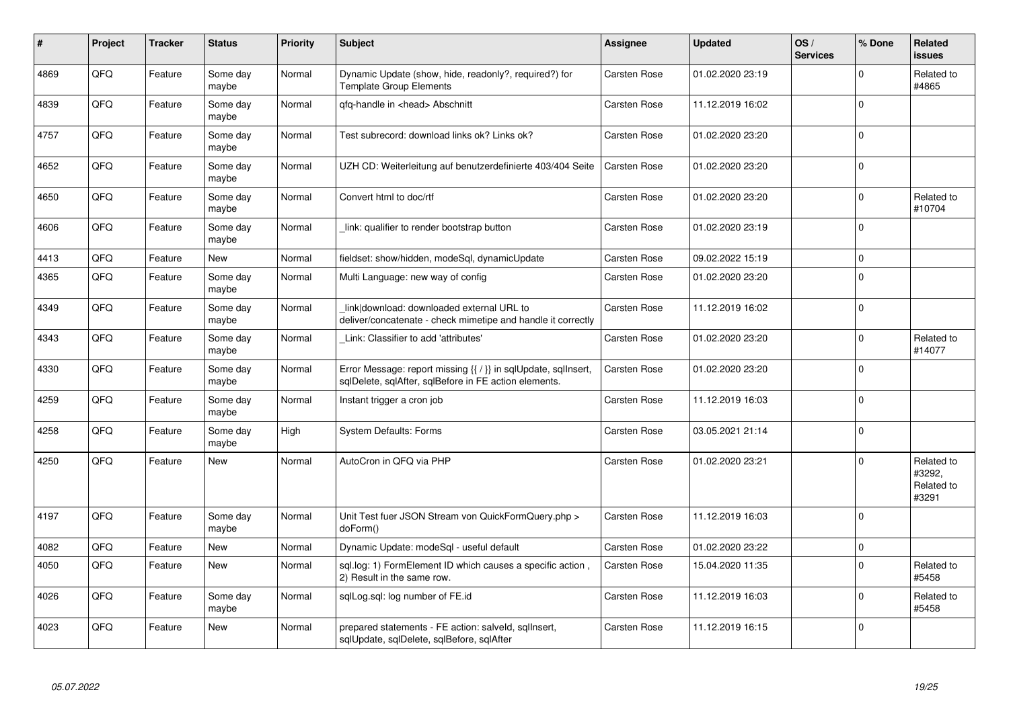| #    | Project | <b>Tracker</b> | <b>Status</b>     | <b>Priority</b> | <b>Subject</b>                                                                                                          | Assignee            | <b>Updated</b>   | OS/<br><b>Services</b> | % Done      | Related<br><b>issues</b>                    |
|------|---------|----------------|-------------------|-----------------|-------------------------------------------------------------------------------------------------------------------------|---------------------|------------------|------------------------|-------------|---------------------------------------------|
| 4869 | QFQ     | Feature        | Some day<br>maybe | Normal          | Dynamic Update (show, hide, readonly?, required?) for<br><b>Template Group Elements</b>                                 | <b>Carsten Rose</b> | 01.02.2020 23:19 |                        | $\Omega$    | Related to<br>#4865                         |
| 4839 | QFQ     | Feature        | Some day<br>maybe | Normal          | qfq-handle in <head> Abschnitt</head>                                                                                   | Carsten Rose        | 11.12.2019 16:02 |                        | $\Omega$    |                                             |
| 4757 | QFQ     | Feature        | Some day<br>maybe | Normal          | Test subrecord: download links ok? Links ok?                                                                            | <b>Carsten Rose</b> | 01.02.2020 23:20 |                        | $\mathbf 0$ |                                             |
| 4652 | QFQ     | Feature        | Some day<br>maybe | Normal          | UZH CD: Weiterleitung auf benutzerdefinierte 403/404 Seite                                                              | Carsten Rose        | 01.02.2020 23:20 |                        | $\Omega$    |                                             |
| 4650 | QFQ     | Feature        | Some day<br>maybe | Normal          | Convert html to doc/rtf                                                                                                 | <b>Carsten Rose</b> | 01.02.2020 23:20 |                        | $\Omega$    | Related to<br>#10704                        |
| 4606 | QFQ     | Feature        | Some day<br>maybe | Normal          | link: qualifier to render bootstrap button                                                                              | Carsten Rose        | 01.02.2020 23:19 |                        | $\mathbf 0$ |                                             |
| 4413 | QFQ     | Feature        | <b>New</b>        | Normal          | fieldset: show/hidden, modeSql, dynamicUpdate                                                                           | <b>Carsten Rose</b> | 09.02.2022 15:19 |                        | $\mathbf 0$ |                                             |
| 4365 | QFQ     | Feature        | Some day<br>maybe | Normal          | Multi Language: new way of config                                                                                       | Carsten Rose        | 01.02.2020 23:20 |                        | $\Omega$    |                                             |
| 4349 | QFQ     | Feature        | Some day<br>maybe | Normal          | link download: downloaded external URL to<br>deliver/concatenate - check mimetipe and handle it correctly               | Carsten Rose        | 11.12.2019 16:02 |                        | $\mathbf 0$ |                                             |
| 4343 | QFQ     | Feature        | Some day<br>maybe | Normal          | Link: Classifier to add 'attributes'                                                                                    | <b>Carsten Rose</b> | 01.02.2020 23:20 |                        | $\Omega$    | Related to<br>#14077                        |
| 4330 | QFQ     | Feature        | Some day<br>maybe | Normal          | Error Message: report missing {{ / }} in sqlUpdate, sqlInsert,<br>sqlDelete, sqlAfter, sqlBefore in FE action elements. | <b>Carsten Rose</b> | 01.02.2020 23:20 |                        | $\Omega$    |                                             |
| 4259 | QFQ     | Feature        | Some day<br>maybe | Normal          | Instant trigger a cron job                                                                                              | Carsten Rose        | 11.12.2019 16:03 |                        | $\mathbf 0$ |                                             |
| 4258 | QFQ     | Feature        | Some day<br>maybe | High            | <b>System Defaults: Forms</b>                                                                                           | Carsten Rose        | 03.05.2021 21:14 |                        | $\mathbf 0$ |                                             |
| 4250 | QFQ     | Feature        | <b>New</b>        | Normal          | AutoCron in QFQ via PHP                                                                                                 | <b>Carsten Rose</b> | 01.02.2020 23:21 |                        | $\Omega$    | Related to<br>#3292,<br>Related to<br>#3291 |
| 4197 | QFQ     | Feature        | Some day<br>maybe | Normal          | Unit Test fuer JSON Stream von QuickFormQuery.php ><br>doForm()                                                         | Carsten Rose        | 11.12.2019 16:03 |                        | $\Omega$    |                                             |
| 4082 | QFQ     | Feature        | <b>New</b>        | Normal          | Dynamic Update: modeSql - useful default                                                                                | Carsten Rose        | 01.02.2020 23:22 |                        | $\pmb{0}$   |                                             |
| 4050 | QFQ     | Feature        | New               | Normal          | sql.log: 1) FormElement ID which causes a specific action<br>2) Result in the same row.                                 | Carsten Rose        | 15.04.2020 11:35 |                        | $\Omega$    | Related to<br>#5458                         |
| 4026 | QFQ     | Feature        | Some day<br>maybe | Normal          | sqlLog.sql: log number of FE.id                                                                                         | Carsten Rose        | 11.12.2019 16:03 |                        | $\mathbf 0$ | Related to<br>#5458                         |
| 4023 | QFQ     | Feature        | <b>New</b>        | Normal          | prepared statements - FE action: salveld, sqlInsert,<br>sqlUpdate, sqlDelete, sqlBefore, sqlAfter                       | Carsten Rose        | 11.12.2019 16:15 |                        | $\Omega$    |                                             |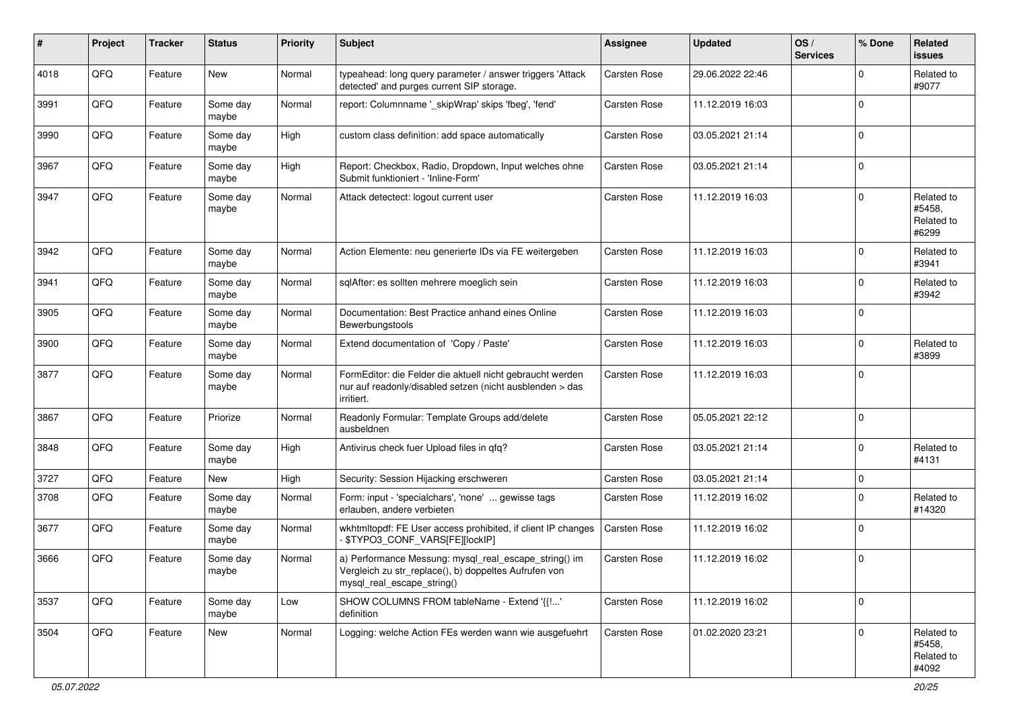| $\pmb{\#}$ | Project | <b>Tracker</b> | <b>Status</b>     | <b>Priority</b> | <b>Subject</b>                                                                                                                               | <b>Assignee</b>     | Updated          | OS/<br><b>Services</b> | % Done      | Related<br><b>issues</b>                    |
|------------|---------|----------------|-------------------|-----------------|----------------------------------------------------------------------------------------------------------------------------------------------|---------------------|------------------|------------------------|-------------|---------------------------------------------|
| 4018       | QFQ     | Feature        | <b>New</b>        | Normal          | typeahead: long query parameter / answer triggers 'Attack<br>detected' and purges current SIP storage.                                       | Carsten Rose        | 29.06.2022 22:46 |                        | $\Omega$    | Related to<br>#9077                         |
| 3991       | QFQ     | Feature        | Some day<br>maybe | Normal          | report: Columnname '_skipWrap' skips 'fbeg', 'fend'                                                                                          | <b>Carsten Rose</b> | 11.12.2019 16:03 |                        | $\Omega$    |                                             |
| 3990       | QFQ     | Feature        | Some day<br>maybe | High            | custom class definition: add space automatically                                                                                             | Carsten Rose        | 03.05.2021 21:14 |                        | $\Omega$    |                                             |
| 3967       | QFQ     | Feature        | Some day<br>maybe | High            | Report: Checkbox, Radio, Dropdown, Input welches ohne<br>Submit funktioniert - 'Inline-Form'                                                 | Carsten Rose        | 03.05.2021 21:14 |                        | $\Omega$    |                                             |
| 3947       | QFQ     | Feature        | Some day<br>maybe | Normal          | Attack detectect: logout current user                                                                                                        | Carsten Rose        | 11.12.2019 16:03 |                        | $\Omega$    | Related to<br>#5458,<br>Related to<br>#6299 |
| 3942       | QFQ     | Feature        | Some day<br>maybe | Normal          | Action Elemente: neu generierte IDs via FE weitergeben                                                                                       | Carsten Rose        | 11.12.2019 16:03 |                        | $\Omega$    | Related to<br>#3941                         |
| 3941       | QFQ     | Feature        | Some day<br>maybe | Normal          | sqlAfter: es sollten mehrere moeglich sein                                                                                                   | Carsten Rose        | 11.12.2019 16:03 |                        | $\Omega$    | Related to<br>#3942                         |
| 3905       | QFQ     | Feature        | Some day<br>maybe | Normal          | Documentation: Best Practice anhand eines Online<br>Bewerbungstools                                                                          | Carsten Rose        | 11.12.2019 16:03 |                        | $\Omega$    |                                             |
| 3900       | QFQ     | Feature        | Some day<br>maybe | Normal          | Extend documentation of 'Copy / Paste'                                                                                                       | Carsten Rose        | 11.12.2019 16:03 |                        | $\Omega$    | Related to<br>#3899                         |
| 3877       | QFQ     | Feature        | Some day<br>maybe | Normal          | FormEditor: die Felder die aktuell nicht gebraucht werden<br>nur auf readonly/disabled setzen (nicht ausblenden > das<br>irritiert.          | Carsten Rose        | 11.12.2019 16:03 |                        | $\Omega$    |                                             |
| 3867       | QFQ     | Feature        | Priorize          | Normal          | Readonly Formular: Template Groups add/delete<br>ausbeldnen                                                                                  | Carsten Rose        | 05.05.2021 22:12 |                        | $\Omega$    |                                             |
| 3848       | QFQ     | Feature        | Some day<br>maybe | High            | Antivirus check fuer Upload files in qfq?                                                                                                    | Carsten Rose        | 03.05.2021 21:14 |                        | $\Omega$    | Related to<br>#4131                         |
| 3727       | QFQ     | Feature        | New               | High            | Security: Session Hijacking erschweren                                                                                                       | Carsten Rose        | 03.05.2021 21:14 |                        | $\mathbf 0$ |                                             |
| 3708       | QFQ     | Feature        | Some day<br>maybe | Normal          | Form: input - 'specialchars', 'none'  gewisse tags<br>erlauben, andere verbieten                                                             | Carsten Rose        | 11.12.2019 16:02 |                        | $\Omega$    | Related to<br>#14320                        |
| 3677       | QFQ     | Feature        | Some day<br>maybe | Normal          | wkhtmltopdf: FE User access prohibited, if client IP changes<br>\$TYPO3_CONF_VARS[FE][lockIP]                                                | Carsten Rose        | 11.12.2019 16:02 |                        | $\Omega$    |                                             |
| 3666       | QFQ     | Feature        | Some day<br>maybe | Normal          | a) Performance Messung: mysql_real_escape_string() im<br>Vergleich zu str_replace(), b) doppeltes Aufrufen von<br>mysql real escape string() | <b>Carsten Rose</b> | 11.12.2019 16:02 |                        | $\Omega$    |                                             |
| 3537       | QFQ     | Feature        | Some day<br>maybe | Low             | SHOW COLUMNS FROM tableName - Extend '{{!'<br>definition                                                                                     | Carsten Rose        | 11.12.2019 16:02 |                        | $\mathbf 0$ |                                             |
| 3504       | QFQ     | Feature        | New               | Normal          | Logging: welche Action FEs werden wann wie ausgefuehrt                                                                                       | Carsten Rose        | 01.02.2020 23:21 |                        | $\mathbf 0$ | Related to<br>#5458,<br>Related to<br>#4092 |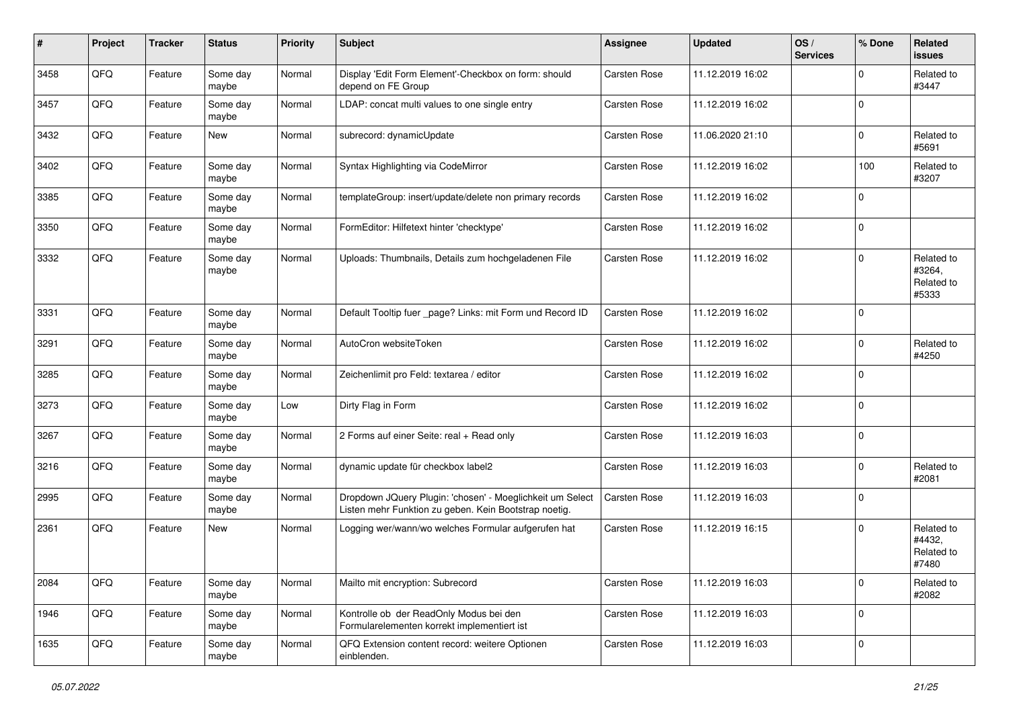| #    | Project | <b>Tracker</b> | <b>Status</b>     | <b>Priority</b> | <b>Subject</b>                                                                                                     | <b>Assignee</b> | <b>Updated</b>   | OS/<br><b>Services</b> | % Done      | Related<br><b>issues</b>                    |
|------|---------|----------------|-------------------|-----------------|--------------------------------------------------------------------------------------------------------------------|-----------------|------------------|------------------------|-------------|---------------------------------------------|
| 3458 | QFQ     | Feature        | Some day<br>maybe | Normal          | Display 'Edit Form Element'-Checkbox on form: should<br>depend on FE Group                                         | Carsten Rose    | 11.12.2019 16:02 |                        | $\mathbf 0$ | Related to<br>#3447                         |
| 3457 | QFQ     | Feature        | Some day<br>maybe | Normal          | LDAP: concat multi values to one single entry                                                                      | Carsten Rose    | 11.12.2019 16:02 |                        | $\mathbf 0$ |                                             |
| 3432 | QFQ     | Feature        | New               | Normal          | subrecord: dynamicUpdate                                                                                           | Carsten Rose    | 11.06.2020 21:10 |                        | 0           | Related to<br>#5691                         |
| 3402 | QFQ     | Feature        | Some day<br>maybe | Normal          | Syntax Highlighting via CodeMirror                                                                                 | Carsten Rose    | 11.12.2019 16:02 |                        | 100         | Related to<br>#3207                         |
| 3385 | QFQ     | Feature        | Some day<br>maybe | Normal          | templateGroup: insert/update/delete non primary records                                                            | Carsten Rose    | 11.12.2019 16:02 |                        | $\mathbf 0$ |                                             |
| 3350 | QFQ     | Feature        | Some day<br>maybe | Normal          | FormEditor: Hilfetext hinter 'checktype'                                                                           | Carsten Rose    | 11.12.2019 16:02 |                        | $\mathbf 0$ |                                             |
| 3332 | QFQ     | Feature        | Some day<br>maybe | Normal          | Uploads: Thumbnails, Details zum hochgeladenen File                                                                | Carsten Rose    | 11.12.2019 16:02 |                        | $\mathbf 0$ | Related to<br>#3264,<br>Related to<br>#5333 |
| 3331 | QFQ     | Feature        | Some day<br>maybe | Normal          | Default Tooltip fuer _page? Links: mit Form und Record ID                                                          | Carsten Rose    | 11.12.2019 16:02 |                        | $\mathbf 0$ |                                             |
| 3291 | QFQ     | Feature        | Some day<br>maybe | Normal          | AutoCron websiteToken                                                                                              | Carsten Rose    | 11.12.2019 16:02 |                        | $\mathbf 0$ | Related to<br>#4250                         |
| 3285 | QFQ     | Feature        | Some day<br>maybe | Normal          | Zeichenlimit pro Feld: textarea / editor                                                                           | Carsten Rose    | 11.12.2019 16:02 |                        | $\mathbf 0$ |                                             |
| 3273 | QFQ     | Feature        | Some day<br>maybe | Low             | Dirty Flag in Form                                                                                                 | Carsten Rose    | 11.12.2019 16:02 |                        | $\mathbf 0$ |                                             |
| 3267 | QFQ     | Feature        | Some day<br>maybe | Normal          | 2 Forms auf einer Seite: real + Read only                                                                          | Carsten Rose    | 11.12.2019 16:03 |                        | $\mathbf 0$ |                                             |
| 3216 | QFQ     | Feature        | Some day<br>maybe | Normal          | dynamic update für checkbox label2                                                                                 | Carsten Rose    | 11.12.2019 16:03 |                        | $\mathbf 0$ | Related to<br>#2081                         |
| 2995 | QFQ     | Feature        | Some day<br>maybe | Normal          | Dropdown JQuery Plugin: 'chosen' - Moeglichkeit um Select<br>Listen mehr Funktion zu geben. Kein Bootstrap noetig. | Carsten Rose    | 11.12.2019 16:03 |                        | $\mathbf 0$ |                                             |
| 2361 | QFQ     | Feature        | New               | Normal          | Logging wer/wann/wo welches Formular aufgerufen hat                                                                | Carsten Rose    | 11.12.2019 16:15 |                        | $\mathbf 0$ | Related to<br>#4432,<br>Related to<br>#7480 |
| 2084 | QFG     | Feature        | Some day<br>maybe | Normal          | Mailto mit encryption: Subrecord                                                                                   | Carsten Rose    | 11.12.2019 16:03 |                        | $\mathbf 0$ | Related to<br>#2082                         |
| 1946 | QFQ     | Feature        | Some day<br>maybe | Normal          | Kontrolle ob der ReadOnly Modus bei den<br>Formularelementen korrekt implementiert ist                             | Carsten Rose    | 11.12.2019 16:03 |                        | $\pmb{0}$   |                                             |
| 1635 | QFG     | Feature        | Some day<br>maybe | Normal          | QFQ Extension content record: weitere Optionen<br>einblenden.                                                      | Carsten Rose    | 11.12.2019 16:03 |                        | $\pmb{0}$   |                                             |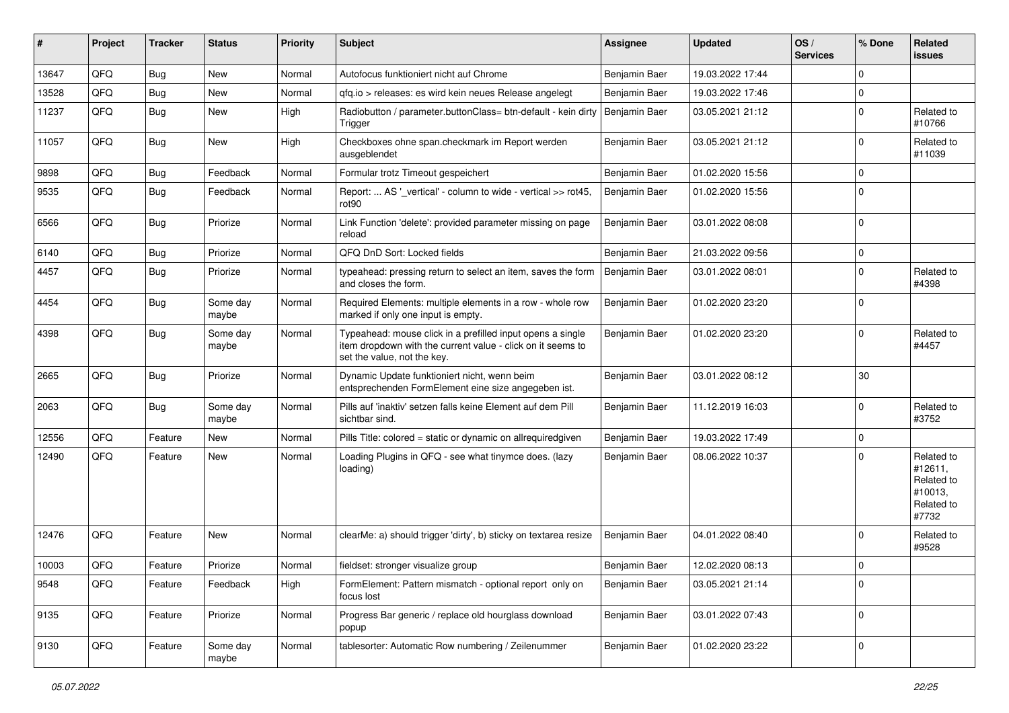| #     | Project | <b>Tracker</b> | <b>Status</b>     | <b>Priority</b> | <b>Subject</b>                                                                                                                                           | <b>Assignee</b> | <b>Updated</b>   | OS/<br><b>Services</b> | % Done      | Related<br><b>issues</b>                                              |
|-------|---------|----------------|-------------------|-----------------|----------------------------------------------------------------------------------------------------------------------------------------------------------|-----------------|------------------|------------------------|-------------|-----------------------------------------------------------------------|
| 13647 | QFQ     | <b>Bug</b>     | New               | Normal          | Autofocus funktioniert nicht auf Chrome                                                                                                                  | Benjamin Baer   | 19.03.2022 17:44 |                        | $\mathbf 0$ |                                                                       |
| 13528 | QFQ     | <b>Bug</b>     | New               | Normal          | gfg.io > releases: es wird kein neues Release angelegt                                                                                                   | Benjamin Baer   | 19.03.2022 17:46 |                        | $\mathbf 0$ |                                                                       |
| 11237 | QFQ     | <b>Bug</b>     | New               | High            | Radiobutton / parameter.buttonClass= btn-default - kein dirty<br>Trigger                                                                                 | Benjamin Baer   | 03.05.2021 21:12 |                        | $\Omega$    | Related to<br>#10766                                                  |
| 11057 | QFQ     | <b>Bug</b>     | New               | High            | Checkboxes ohne span.checkmark im Report werden<br>ausgeblendet                                                                                          | Benjamin Baer   | 03.05.2021 21:12 |                        | $\mathbf 0$ | Related to<br>#11039                                                  |
| 9898  | QFQ     | <b>Bug</b>     | Feedback          | Normal          | Formular trotz Timeout gespeichert                                                                                                                       | Benjamin Baer   | 01.02.2020 15:56 |                        | $\mathbf 0$ |                                                                       |
| 9535  | QFQ     | <b>Bug</b>     | Feedback          | Normal          | Report:  AS ' vertical' - column to wide - vertical >> rot45.<br>rot <sub>90</sub>                                                                       | Benjamin Baer   | 01.02.2020 15:56 |                        | $\Omega$    |                                                                       |
| 6566  | QFQ     | <b>Bug</b>     | Priorize          | Normal          | Link Function 'delete': provided parameter missing on page<br>reload                                                                                     | Benjamin Baer   | 03.01.2022 08:08 |                        | $\mathbf 0$ |                                                                       |
| 6140  | QFQ     | <b>Bug</b>     | Priorize          | Normal          | QFQ DnD Sort: Locked fields                                                                                                                              | Benjamin Baer   | 21.03.2022 09:56 |                        | 0           |                                                                       |
| 4457  | QFQ     | Bug            | Priorize          | Normal          | typeahead: pressing return to select an item, saves the form<br>and closes the form.                                                                     | Benjamin Baer   | 03.01.2022 08:01 |                        | $\Omega$    | Related to<br>#4398                                                   |
| 4454  | QFQ     | Bug            | Some day<br>maybe | Normal          | Required Elements: multiple elements in a row - whole row<br>marked if only one input is empty.                                                          | Benjamin Baer   | 01.02.2020 23:20 |                        | $\Omega$    |                                                                       |
| 4398  | QFQ     | <b>Bug</b>     | Some day<br>maybe | Normal          | Typeahead: mouse click in a prefilled input opens a single<br>item dropdown with the current value - click on it seems to<br>set the value, not the key. | Benjamin Baer   | 01.02.2020 23:20 |                        | $\mathbf 0$ | Related to<br>#4457                                                   |
| 2665  | QFQ     | <b>Bug</b>     | Priorize          | Normal          | Dynamic Update funktioniert nicht, wenn beim<br>entsprechenden FormElement eine size angegeben ist.                                                      | Benjamin Baer   | 03.01.2022 08:12 |                        | 30          |                                                                       |
| 2063  | QFQ     | <b>Bug</b>     | Some day<br>maybe | Normal          | Pills auf 'inaktiv' setzen falls keine Element auf dem Pill<br>sichtbar sind.                                                                            | Benjamin Baer   | 11.12.2019 16:03 |                        | $\Omega$    | Related to<br>#3752                                                   |
| 12556 | QFQ     | Feature        | New               | Normal          | Pills Title: colored = static or dynamic on allrequiredgiven                                                                                             | Benjamin Baer   | 19.03.2022 17:49 |                        | $\pmb{0}$   |                                                                       |
| 12490 | QFQ     | Feature        | New               | Normal          | Loading Plugins in QFQ - see what tinymce does. (lazy<br>loading)                                                                                        | Benjamin Baer   | 08.06.2022 10:37 |                        | $\mathbf 0$ | Related to<br>#12611,<br>Related to<br>#10013,<br>Related to<br>#7732 |
| 12476 | QFQ     | Feature        | New               | Normal          | clearMe: a) should trigger 'dirty', b) sticky on textarea resize                                                                                         | Benjamin Baer   | 04.01.2022 08:40 |                        | $\mathbf 0$ | Related to<br>#9528                                                   |
| 10003 | QFQ     | Feature        | Priorize          | Normal          | fieldset: stronger visualize group                                                                                                                       | Benjamin Baer   | 12.02.2020 08:13 |                        | $\mathbf 0$ |                                                                       |
| 9548  | QFQ     | Feature        | Feedback          | High            | FormElement: Pattern mismatch - optional report only on<br>focus lost                                                                                    | Benjamin Baer   | 03.05.2021 21:14 |                        | $\mathbf 0$ |                                                                       |
| 9135  | QFQ     | Feature        | Priorize          | Normal          | Progress Bar generic / replace old hourglass download<br>popup                                                                                           | Benjamin Baer   | 03.01.2022 07:43 |                        | $\mathbf 0$ |                                                                       |
| 9130  | QFQ     | Feature        | Some day<br>maybe | Normal          | tablesorter: Automatic Row numbering / Zeilenummer                                                                                                       | Benjamin Baer   | 01.02.2020 23:22 |                        | 0           |                                                                       |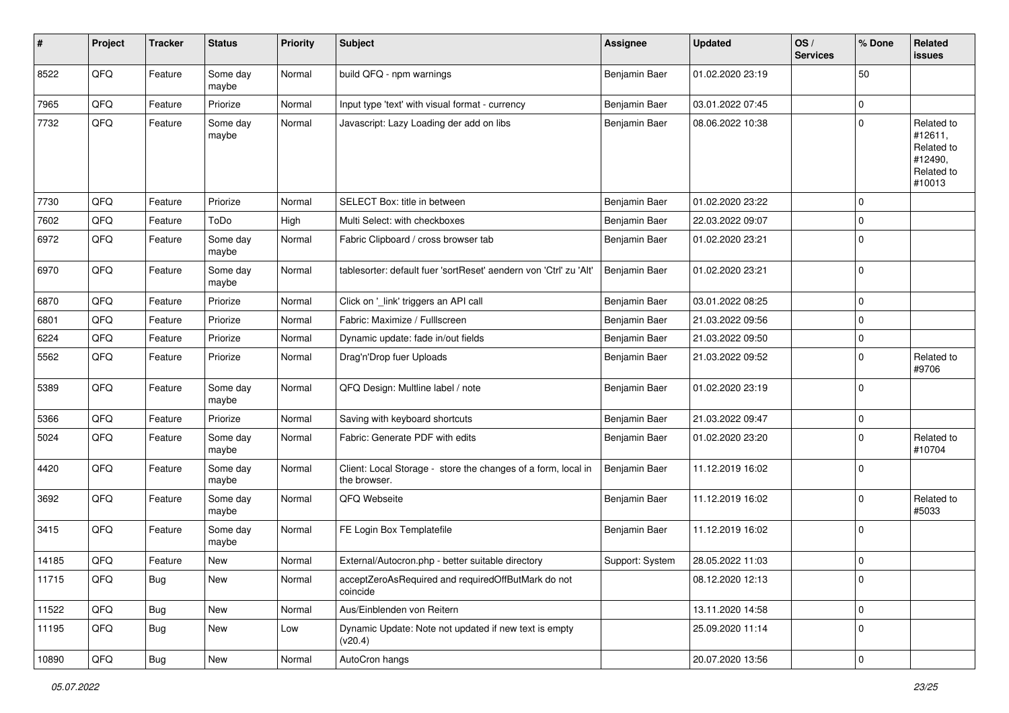| #     | Project | <b>Tracker</b> | <b>Status</b>     | <b>Priority</b> | <b>Subject</b>                                                                | <b>Assignee</b> | <b>Updated</b>   | OS/<br><b>Services</b> | % Done      | Related<br><b>issues</b>                                               |
|-------|---------|----------------|-------------------|-----------------|-------------------------------------------------------------------------------|-----------------|------------------|------------------------|-------------|------------------------------------------------------------------------|
| 8522  | QFQ     | Feature        | Some day<br>maybe | Normal          | build QFQ - npm warnings                                                      | Benjamin Baer   | 01.02.2020 23:19 |                        | 50          |                                                                        |
| 7965  | QFQ     | Feature        | Priorize          | Normal          | Input type 'text' with visual format - currency                               | Benjamin Baer   | 03.01.2022 07:45 |                        | $\mathbf 0$ |                                                                        |
| 7732  | QFQ     | Feature        | Some day<br>maybe | Normal          | Javascript: Lazy Loading der add on libs                                      | Benjamin Baer   | 08.06.2022 10:38 |                        | $\mathbf 0$ | Related to<br>#12611,<br>Related to<br>#12490,<br>Related to<br>#10013 |
| 7730  | QFQ     | Feature        | Priorize          | Normal          | SELECT Box: title in between                                                  | Benjamin Baer   | 01.02.2020 23:22 |                        | $\mathbf 0$ |                                                                        |
| 7602  | QFQ     | Feature        | ToDo              | High            | Multi Select: with checkboxes                                                 | Benjamin Baer   | 22.03.2022 09:07 |                        | $\mathbf 0$ |                                                                        |
| 6972  | QFQ     | Feature        | Some day<br>maybe | Normal          | Fabric Clipboard / cross browser tab                                          | Benjamin Baer   | 01.02.2020 23:21 |                        | $\mathbf 0$ |                                                                        |
| 6970  | QFQ     | Feature        | Some day<br>maybe | Normal          | tablesorter: default fuer 'sortReset' aendern von 'Ctrl' zu 'Alt'             | Benjamin Baer   | 01.02.2020 23:21 |                        | $\mathbf 0$ |                                                                        |
| 6870  | QFQ     | Feature        | Priorize          | Normal          | Click on '_link' triggers an API call                                         | Benjamin Baer   | 03.01.2022 08:25 |                        | $\mathbf 0$ |                                                                        |
| 6801  | QFQ     | Feature        | Priorize          | Normal          | Fabric: Maximize / Fulllscreen                                                | Benjamin Baer   | 21.03.2022 09:56 |                        | $\mathbf 0$ |                                                                        |
| 6224  | QFQ     | Feature        | Priorize          | Normal          | Dynamic update: fade in/out fields                                            | Benjamin Baer   | 21.03.2022 09:50 |                        | $\mathbf 0$ |                                                                        |
| 5562  | QFQ     | Feature        | Priorize          | Normal          | Drag'n'Drop fuer Uploads                                                      | Benjamin Baer   | 21.03.2022 09:52 |                        | $\mathbf 0$ | Related to<br>#9706                                                    |
| 5389  | QFQ     | Feature        | Some day<br>maybe | Normal          | QFQ Design: Multline label / note                                             | Benjamin Baer   | 01.02.2020 23:19 |                        | $\mathbf 0$ |                                                                        |
| 5366  | QFQ     | Feature        | Priorize          | Normal          | Saving with keyboard shortcuts                                                | Benjamin Baer   | 21.03.2022 09:47 |                        | $\mathbf 0$ |                                                                        |
| 5024  | QFQ     | Feature        | Some day<br>maybe | Normal          | Fabric: Generate PDF with edits                                               | Benjamin Baer   | 01.02.2020 23:20 |                        | $\mathbf 0$ | Related to<br>#10704                                                   |
| 4420  | QFQ     | Feature        | Some day<br>maybe | Normal          | Client: Local Storage - store the changes of a form, local in<br>the browser. | Benjamin Baer   | 11.12.2019 16:02 |                        | $\mathbf 0$ |                                                                        |
| 3692  | QFQ     | Feature        | Some day<br>maybe | Normal          | QFQ Webseite                                                                  | Benjamin Baer   | 11.12.2019 16:02 |                        | $\mathbf 0$ | Related to<br>#5033                                                    |
| 3415  | QFQ     | Feature        | Some day<br>maybe | Normal          | FE Login Box Templatefile                                                     | Benjamin Baer   | 11.12.2019 16:02 |                        | $\mathbf 0$ |                                                                        |
| 14185 | QFQ     | Feature        | New               | Normal          | External/Autocron.php - better suitable directory                             | Support: System | 28.05.2022 11:03 |                        | $\mathbf 0$ |                                                                        |
| 11715 | QFQ     | <b>Bug</b>     | New               | Normal          | acceptZeroAsRequired and requiredOffButMark do not<br>coincide                |                 | 08.12.2020 12:13 |                        | $\mathbf 0$ |                                                                        |
| 11522 | QFQ     | <b>Bug</b>     | New               | Normal          | Aus/Einblenden von Reitern                                                    |                 | 13.11.2020 14:58 |                        | $\mathbf 0$ |                                                                        |
| 11195 | QFQ     | Bug            | New               | Low             | Dynamic Update: Note not updated if new text is empty<br>(v20.4)              |                 | 25.09.2020 11:14 |                        | $\mathbf 0$ |                                                                        |
| 10890 | QFG     | <b>Bug</b>     | New               | Normal          | AutoCron hangs                                                                |                 | 20.07.2020 13:56 |                        | $\mathbf 0$ |                                                                        |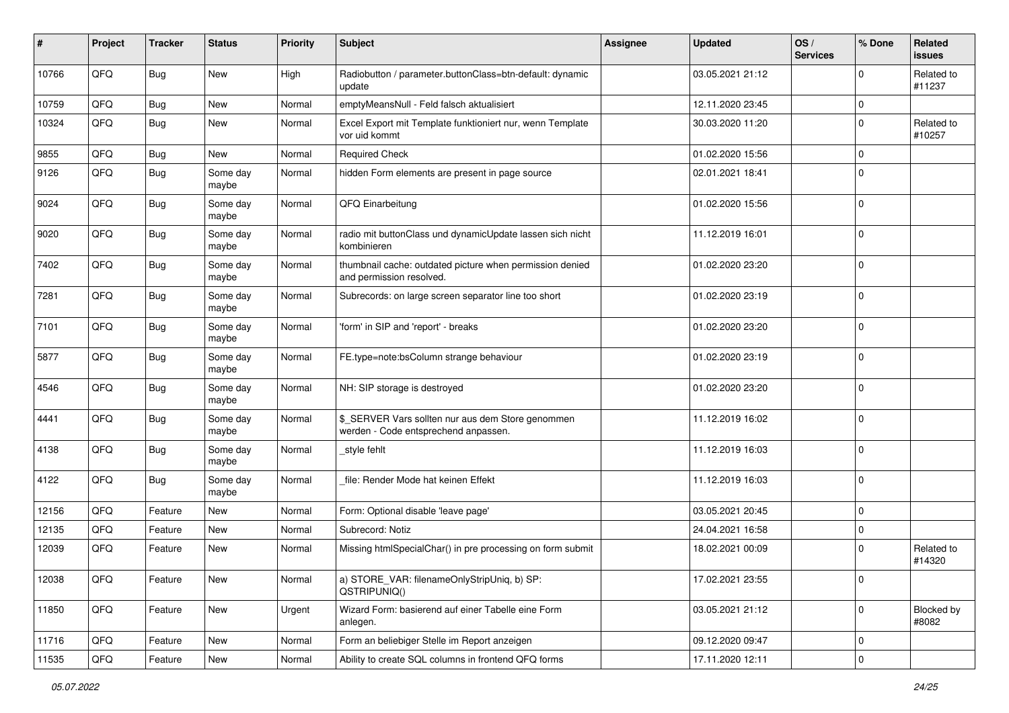| #     | Project | <b>Tracker</b> | <b>Status</b>     | <b>Priority</b> | <b>Subject</b>                                                                            | <b>Assignee</b> | <b>Updated</b>   | OS/<br><b>Services</b> | % Done      | Related<br><b>issues</b> |
|-------|---------|----------------|-------------------|-----------------|-------------------------------------------------------------------------------------------|-----------------|------------------|------------------------|-------------|--------------------------|
| 10766 | QFQ     | <b>Bug</b>     | <b>New</b>        | High            | Radiobutton / parameter.buttonClass=btn-default: dynamic<br>update                        |                 | 03.05.2021 21:12 |                        | $\mathbf 0$ | Related to<br>#11237     |
| 10759 | QFQ     | <b>Bug</b>     | <b>New</b>        | Normal          | emptyMeansNull - Feld falsch aktualisiert                                                 |                 | 12.11.2020 23:45 |                        | $\mathbf 0$ |                          |
| 10324 | QFQ     | <b>Bug</b>     | New               | Normal          | Excel Export mit Template funktioniert nur, wenn Template<br>vor uid kommt                |                 | 30.03.2020 11:20 |                        | $\mathbf 0$ | Related to<br>#10257     |
| 9855  | QFQ     | <b>Bug</b>     | New               | Normal          | <b>Required Check</b>                                                                     |                 | 01.02.2020 15:56 |                        | $\mathbf 0$ |                          |
| 9126  | QFQ     | <b>Bug</b>     | Some day<br>maybe | Normal          | hidden Form elements are present in page source                                           |                 | 02.01.2021 18:41 |                        | $\mathbf 0$ |                          |
| 9024  | QFQ     | <b>Bug</b>     | Some day<br>maybe | Normal          | QFQ Einarbeitung                                                                          |                 | 01.02.2020 15:56 |                        | $\mathbf 0$ |                          |
| 9020  | QFQ     | <b>Bug</b>     | Some day<br>maybe | Normal          | radio mit buttonClass und dynamicUpdate lassen sich nicht<br>kombinieren                  |                 | 11.12.2019 16:01 |                        | $\mathbf 0$ |                          |
| 7402  | QFQ     | <b>Bug</b>     | Some day<br>maybe | Normal          | thumbnail cache: outdated picture when permission denied<br>and permission resolved.      |                 | 01.02.2020 23:20 |                        | $\mathbf 0$ |                          |
| 7281  | QFQ     | <b>Bug</b>     | Some day<br>maybe | Normal          | Subrecords: on large screen separator line too short                                      |                 | 01.02.2020 23:19 |                        | $\mathbf 0$ |                          |
| 7101  | QFQ     | <b>Bug</b>     | Some day<br>maybe | Normal          | 'form' in SIP and 'report' - breaks                                                       |                 | 01.02.2020 23:20 |                        | $\mathbf 0$ |                          |
| 5877  | QFQ     | <b>Bug</b>     | Some day<br>maybe | Normal          | FE.type=note:bsColumn strange behaviour                                                   |                 | 01.02.2020 23:19 |                        | $\mathbf 0$ |                          |
| 4546  | QFQ     | <b>Bug</b>     | Some day<br>maybe | Normal          | NH: SIP storage is destroyed                                                              |                 | 01.02.2020 23:20 |                        | $\mathbf 0$ |                          |
| 4441  | QFQ     | <b>Bug</b>     | Some day<br>maybe | Normal          | \$_SERVER Vars sollten nur aus dem Store genommen<br>werden - Code entsprechend anpassen. |                 | 11.12.2019 16:02 |                        | $\mathbf 0$ |                          |
| 4138  | QFQ     | <b>Bug</b>     | Some day<br>maybe | Normal          | style fehlt                                                                               |                 | 11.12.2019 16:03 |                        | $\mathbf 0$ |                          |
| 4122  | QFQ     | <b>Bug</b>     | Some day<br>maybe | Normal          | file: Render Mode hat keinen Effekt                                                       |                 | 11.12.2019 16:03 |                        | $\mathbf 0$ |                          |
| 12156 | QFQ     | Feature        | New               | Normal          | Form: Optional disable 'leave page'                                                       |                 | 03.05.2021 20:45 |                        | $\mathbf 0$ |                          |
| 12135 | QFQ     | Feature        | New               | Normal          | Subrecord: Notiz                                                                          |                 | 24.04.2021 16:58 |                        | $\mathbf 0$ |                          |
| 12039 | QFQ     | Feature        | New               | Normal          | Missing htmlSpecialChar() in pre processing on form submit                                |                 | 18.02.2021 00:09 |                        | $\mathbf 0$ | Related to<br>#14320     |
| 12038 | QFQ     | Feature        | New               | Normal          | a) STORE_VAR: filenameOnlyStripUniq, b) SP:<br>QSTRIPUNIQ()                               |                 | 17.02.2021 23:55 |                        | 0           |                          |
| 11850 | QFQ     | Feature        | New               | Urgent          | Wizard Form: basierend auf einer Tabelle eine Form<br>anlegen.                            |                 | 03.05.2021 21:12 |                        | $\mathbf 0$ | Blocked by<br>#8082      |
| 11716 | QFQ     | Feature        | New               | Normal          | Form an beliebiger Stelle im Report anzeigen                                              |                 | 09.12.2020 09:47 |                        | $\mathbf 0$ |                          |
| 11535 | QFQ     | Feature        | New               | Normal          | Ability to create SQL columns in frontend QFQ forms                                       |                 | 17.11.2020 12:11 |                        | $\mathsf 0$ |                          |